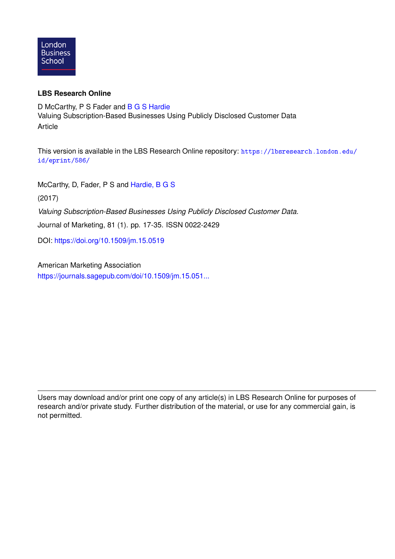

# **LBS Research Online**

D McCarthy, P S Fader and [B G S Hardie](https://lbsresearch.london.edu/view/lbs_authors/155303.html) Valuing Subscription-Based Businesses Using Publicly Disclosed Customer Data Article

This version is available in the LBS Research Online repository: [https://lbsresearch.london.edu/](https://lbsresearch.london.edu/id/eprint/586/) [id/eprint/586/](https://lbsresearch.london.edu/id/eprint/586/)

McCarthy, D, Fader, P S and [Hardie, B G S](https://lbsresearch.london.edu/view/lbs_authors/155303.html)

(2017)

*Valuing Subscription-Based Businesses Using Publicly Disclosed Customer Data.*

Journal of Marketing, 81 (1). pp. 17-35. ISSN 0022-2429

DOI: <https://doi.org/10.1509/jm.15.0519>

American Marketing Association

[https://journals.sagepub.com/doi/10.1509/jm.15.051...](https://journals.sagepub.com/doi/10.1509/jm.15.0519)

Users may download and/or print one copy of any article(s) in LBS Research Online for purposes of research and/or private study. Further distribution of the material, or use for any commercial gain, is not permitted.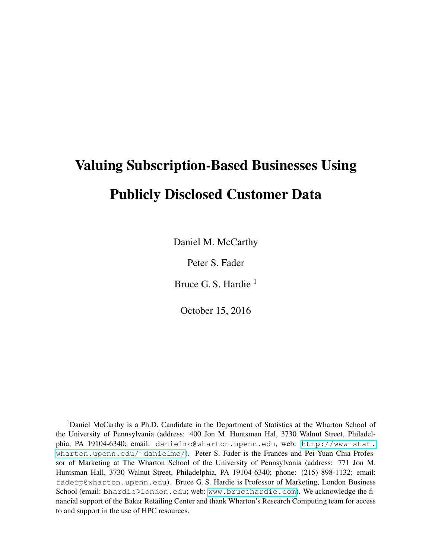# Valuing Subscription-Based Businesses Using Publicly Disclosed Customer Data

Daniel M. McCarthy

Peter S. Fader

Bruce G. S. Hardie  $<sup>1</sup>$ </sup>

October 15, 2016

<sup>1</sup>Daniel McCarthy is a Ph.D. Candidate in the Department of Statistics at the Wharton School of the University of Pennsylvania (address: 400 Jon M. Huntsman Hal, 3730 Walnut Street, Philadelphia, PA 19104-6340; email: danielmc@wharton.upenn.edu, web: [http://www-stat.](http://www-stat.wharton.upenn.edu/~danielmc/) wharton.upenn.edu/~danielmc/). Peter S. Fader is the Frances and Pei-Yuan Chia Professor of Marketing at The Wharton School of the University of Pennsylvania (address: 771 Jon M. Huntsman Hall, 3730 Walnut Street, Philadelphia, PA 19104-6340; phone: (215) 898-1132; email: faderp@wharton.upenn.edu). Bruce G. S. Hardie is Professor of Marketing, London Business School (email: bhardie@london.edu; web: <www.brucehardie.com>). We acknowledge the financial support of the Baker Retailing Center and thank Wharton's Research Computing team for access to and support in the use of HPC resources.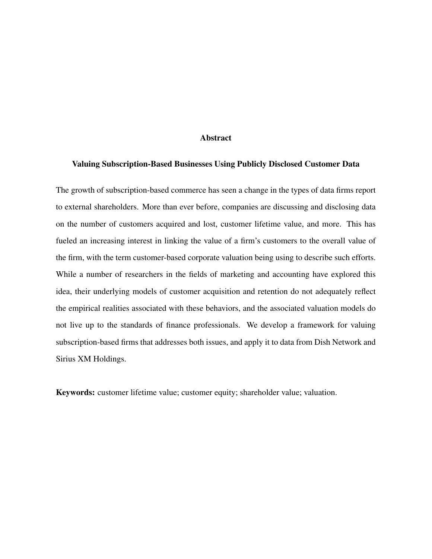#### Abstract

#### Valuing Subscription-Based Businesses Using Publicly Disclosed Customer Data

The growth of subscription-based commerce has seen a change in the types of data firms report to external shareholders. More than ever before, companies are discussing and disclosing data on the number of customers acquired and lost, customer lifetime value, and more. This has fueled an increasing interest in linking the value of a firm's customers to the overall value of the firm, with the term customer-based corporate valuation being using to describe such efforts. While a number of researchers in the fields of marketing and accounting have explored this idea, their underlying models of customer acquisition and retention do not adequately reflect the empirical realities associated with these behaviors, and the associated valuation models do not live up to the standards of finance professionals. We develop a framework for valuing subscription-based firms that addresses both issues, and apply it to data from Dish Network and Sirius XM Holdings.

Keywords: customer lifetime value; customer equity; shareholder value; valuation.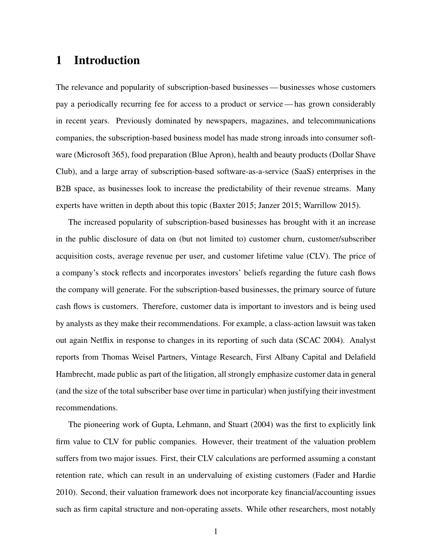# 1 Introduction

The relevance and popularity of subscription-based businesses — businesses whose customers pay a periodically recurring fee for access to a product or service — has grown considerably in recent years. Previously dominated by newspapers, magazines, and telecommunications companies, the subscription-based business model has made strong inroads into consumer software (Microsoft 365), food preparation (Blue Apron), health and beauty products (Dollar Shave Club), and a large array of subscription-based software-as-a-service (SaaS) enterprises in the B2B space, as businesses look to increase the predictability of their revenue streams. Many experts have written in depth about this topic (Baxter 2015; Janzer 2015; Warrillow 2015).

The increased popularity of subscription-based businesses has brought with it an increase in the public disclosure of data on (but not limited to) customer churn, customer/subscriber acquisition costs, average revenue per user, and customer lifetime value (CLV). The price of a company's stock reflects and incorporates investors' beliefs regarding the future cash flows the company will generate. For the subscription-based businesses, the primary source of future cash flows is customers. Therefore, customer data is important to investors and is being used by analysts as they make their recommendations. For example, a class-action lawsuit was taken out again Netflix in response to changes in its reporting of such data (SCAC 2004). Analyst reports from Thomas Weisel Partners, Vintage Research, First Albany Capital and Delafield Hambrecht, made public as part of the litigation, all strongly emphasize customer data in general (and the size of the total subscriber base over time in particular) when justifying their investment recommendations.

The pioneering work of Gupta, Lehmann, and Stuart (2004) was the first to explicitly link firm value to CLV for public companies. However, their treatment of the valuation problem suffers from two major issues. First, their CLV calculations are performed assuming a constant retention rate, which can result in an undervaluing of existing customers (Fader and Hardie 2010). Second, their valuation framework does not incorporate key financial/accounting issues such as firm capital structure and non-operating assets. While other researchers, most notably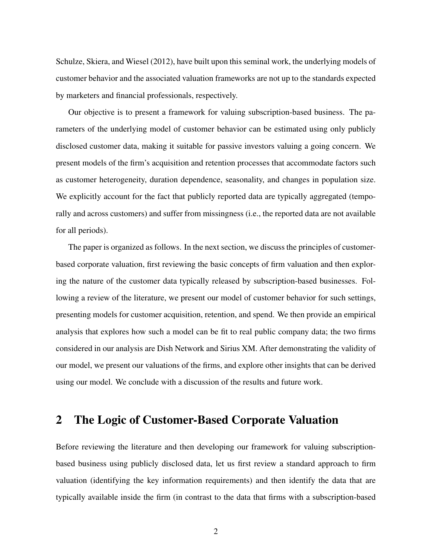Schulze, Skiera, and Wiesel (2012), have built upon this seminal work, the underlying models of customer behavior and the associated valuation frameworks are not up to the standards expected by marketers and financial professionals, respectively.

Our objective is to present a framework for valuing subscription-based business. The parameters of the underlying model of customer behavior can be estimated using only publicly disclosed customer data, making it suitable for passive investors valuing a going concern. We present models of the firm's acquisition and retention processes that accommodate factors such as customer heterogeneity, duration dependence, seasonality, and changes in population size. We explicitly account for the fact that publicly reported data are typically aggregated (temporally and across customers) and suffer from missingness (i.e., the reported data are not available for all periods).

The paper is organized as follows. In the next section, we discuss the principles of customerbased corporate valuation, first reviewing the basic concepts of firm valuation and then exploring the nature of the customer data typically released by subscription-based businesses. Following a review of the literature, we present our model of customer behavior for such settings, presenting models for customer acquisition, retention, and spend. We then provide an empirical analysis that explores how such a model can be fit to real public company data; the two firms considered in our analysis are Dish Network and Sirius XM. After demonstrating the validity of our model, we present our valuations of the firms, and explore other insights that can be derived using our model. We conclude with a discussion of the results and future work.

# 2 The Logic of Customer-Based Corporate Valuation

Before reviewing the literature and then developing our framework for valuing subscriptionbased business using publicly disclosed data, let us first review a standard approach to firm valuation (identifying the key information requirements) and then identify the data that are typically available inside the firm (in contrast to the data that firms with a subscription-based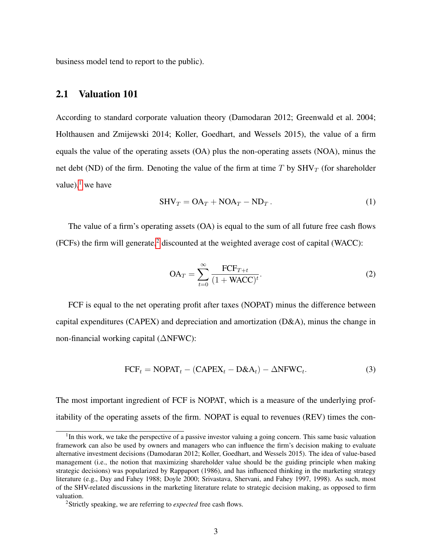business model tend to report to the public).

# <span id="page-5-3"></span>2.1 Valuation 101

According to standard corporate valuation theory (Damodaran 2012; Greenwald et al. 2004; Holthausen and Zmijewski 2014; Koller, Goedhart, and Wessels 2015), the value of a firm equals the value of the operating assets (OA) plus the non-operating assets (NOA), minus the net debt (ND) of the firm. Denoting the value of the firm at time T by  $SHV_T$  (for shareholder value), $<sup>1</sup>$  $<sup>1</sup>$  $<sup>1</sup>$  we have</sup>

<span id="page-5-4"></span>
$$
SHV_T = OA_T + NOA_T - ND_T.
$$
 (1)

The value of a firm's operating assets (OA) is equal to the sum of all future free cash flows  $(FCFs)$  the firm will generate,<sup>[2](#page-5-1)</sup> discounted at the weighted average cost of capital (WACC):

$$
OA_T = \sum_{t=0}^{\infty} \frac{FCF_{T+t}}{(1 + WACC)^t}.
$$
 (2)

FCF is equal to the net operating profit after taxes (NOPAT) minus the difference between capital expenditures (CAPEX) and depreciation and amortization (D&A), minus the change in non-financial working capital (∆NFWC):

<span id="page-5-2"></span>
$$
FCF_t = NOPAT_t - (CAPEX_t - D&A_t) - \Delta NFWC_t.
$$
\n(3)

The most important ingredient of FCF is NOPAT, which is a measure of the underlying profitability of the operating assets of the firm. NOPAT is equal to revenues (REV) times the con-

<span id="page-5-0"></span><sup>&</sup>lt;sup>1</sup>In this work, we take the perspective of a passive investor valuing a going concern. This same basic valuation framework can also be used by owners and managers who can influence the firm's decision making to evaluate alternative investment decisions (Damodaran 2012; Koller, Goedhart, and Wessels 2015). The idea of value-based management (i.e., the notion that maximizing shareholder value should be the guiding principle when making strategic decisions) was popularized by Rappaport (1986), and has influenced thinking in the marketing strategy literature (e.g., Day and Fahey 1988; Doyle 2000; Srivastava, Shervani, and Fahey 1997, 1998). As such, most of the SHV-related discussions in the marketing literature relate to strategic decision making, as opposed to firm valuation.

<span id="page-5-1"></span><sup>2</sup>Strictly speaking, we are referring to *expected* free cash flows.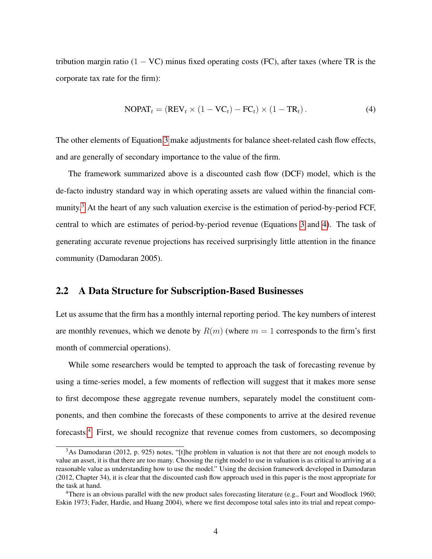tribution margin ratio (1 – VC) minus fixed operating costs (FC), after taxes (where TR is the corporate tax rate for the firm):

<span id="page-6-1"></span>
$$
NOPATt = (REVt × (1 – VCt) – FCt) × (1 – TRt). \t(4)
$$

The other elements of Equation [3](#page-5-2) make adjustments for balance sheet-related cash flow effects, and are generally of secondary importance to the value of the firm.

The framework summarized above is a discounted cash flow (DCF) model, which is the de-facto industry standard way in which operating assets are valued within the financial com-munity.<sup>[3](#page-6-0)</sup> At the heart of any such valuation exercise is the estimation of period-by-period FCF, central to which are estimates of period-by-period revenue (Equations [3](#page-5-2) and [4\)](#page-6-1). The task of generating accurate revenue projections has received surprisingly little attention in the finance community (Damodaran 2005).

# <span id="page-6-3"></span>2.2 A Data Structure for Subscription-Based Businesses

Let us assume that the firm has a monthly internal reporting period. The key numbers of interest are monthly revenues, which we denote by  $R(m)$  (where  $m = 1$  corresponds to the firm's first month of commercial operations).

While some researchers would be tempted to approach the task of forecasting revenue by using a time-series model, a few moments of reflection will suggest that it makes more sense to first decompose these aggregate revenue numbers, separately model the constituent components, and then combine the forecasts of these components to arrive at the desired revenue forecasts.[4](#page-6-2) First, we should recognize that revenue comes from customers, so decomposing

<span id="page-6-0"></span><sup>&</sup>lt;sup>3</sup>As Damodaran (2012, p. 925) notes, "[t]he problem in valuation is not that there are not enough models to value an asset, it is that there are too many. Choosing the right model to use in valuation is as critical to arriving at a reasonable value as understanding how to use the model." Using the decision framework developed in Damodaran (2012, Chapter 34), it is clear that the discounted cash flow approach used in this paper is the most appropriate for the task at hand.

<span id="page-6-2"></span><sup>&</sup>lt;sup>4</sup>There is an obvious parallel with the new product sales forecasting literature (e.g., Fourt and Woodlock 1960; Eskin 1973; Fader, Hardie, and Huang 2004), where we first decompose total sales into its trial and repeat compo-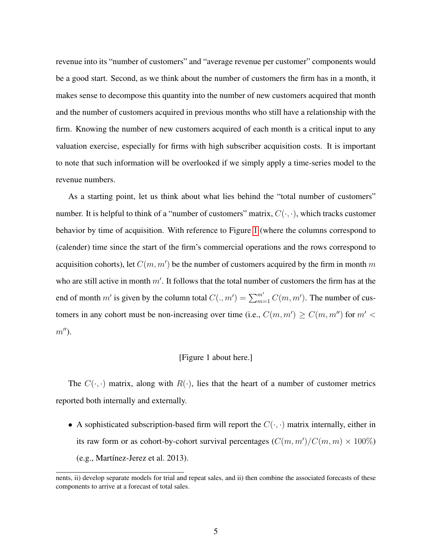revenue into its "number of customers" and "average revenue per customer" components would be a good start. Second, as we think about the number of customers the firm has in a month, it makes sense to decompose this quantity into the number of new customers acquired that month and the number of customers acquired in previous months who still have a relationship with the firm. Knowing the number of new customers acquired of each month is a critical input to any valuation exercise, especially for firms with high subscriber acquisition costs. It is important to note that such information will be overlooked if we simply apply a time-series model to the revenue numbers.

As a starting point, let us think about what lies behind the "total number of customers" number. It is helpful to think of a "number of customers" matrix,  $C(\cdot, \cdot)$ , which tracks customer behavior by time of acquisition. With reference to Figure [1](#page-46-0) (where the columns correspond to (calender) time since the start of the firm's commercial operations and the rows correspond to acquisition cohorts), let  $C(m, m')$  be the number of customers acquired by the firm in month m who are still active in month  $m'$ . It follows that the total number of customers the firm has at the end of month m' is given by the column total  $C(., m') = \sum_{m=1}^{m'} C(m, m')$ . The number of customers in any cohort must be non-increasing over time (i.e.,  $C(m, m') \ge C(m, m'')$  for  $m' <$  $m^{\prime\prime}$ ).

## [Figure 1 about here.]

The  $C(\cdot, \cdot)$  matrix, along with  $R(\cdot)$ , lies that the heart of a number of customer metrics reported both internally and externally.

• A sophisticated subscription-based firm will report the  $C(\cdot, \cdot)$  matrix internally, either in its raw form or as cohort-by-cohort survival percentages  $(C(m, m')/C(m, m) \times 100\%)$ (e.g., Martínez-Jerez et al. 2013).

nents, ii) develop separate models for trial and repeat sales, and ii) then combine the associated forecasts of these components to arrive at a forecast of total sales.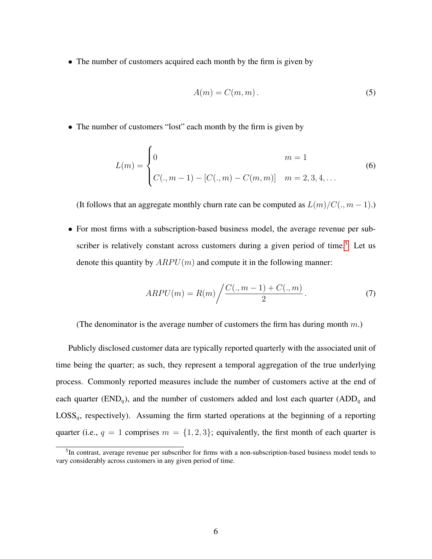• The number of customers acquired each month by the firm is given by

$$
A(m) = C(m, m). \tag{5}
$$

• The number of customers "lost" each month by the firm is given by

<span id="page-8-1"></span>
$$
L(m) = \begin{cases} 0 & m = 1\\ C(., m - 1) - [C(., m) - C(m, m)] & m = 2, 3, 4, ... \end{cases}
$$
(6)

(It follows that an aggregate monthly churn rate can be computed as  $L(m)/C(., m-1)$ .)

• For most firms with a subscription-based business model, the average revenue per sub-scriber is relatively constant across customers during a given period of time.<sup>[5](#page-8-0)</sup> Let us denote this quantity by  $ARPU(m)$  and compute it in the following manner:

<span id="page-8-2"></span>
$$
ARPU(m) = R(m) / \frac{C(.,m-1) + C(.,m)}{2}.
$$
 (7)

(The denominator is the average number of customers the firm has during month  $m$ .)

Publicly disclosed customer data are typically reported quarterly with the associated unit of time being the quarter; as such, they represent a temporal aggregation of the true underlying process. Commonly reported measures include the number of customers active at the end of each quarter ( $END_q$ ), and the number of customers added and lost each quarter ( $ADD_q$  and  $\text{LOSS}_q$ , respectively). Assuming the firm started operations at the beginning of a reporting quarter (i.e.,  $q = 1$  comprises  $m = \{1, 2, 3\}$ ; equivalently, the first month of each quarter is

<span id="page-8-0"></span><sup>&</sup>lt;sup>5</sup>In contrast, average revenue per subscriber for firms with a non-subscription-based business model tends to vary considerably across customers in any given period of time.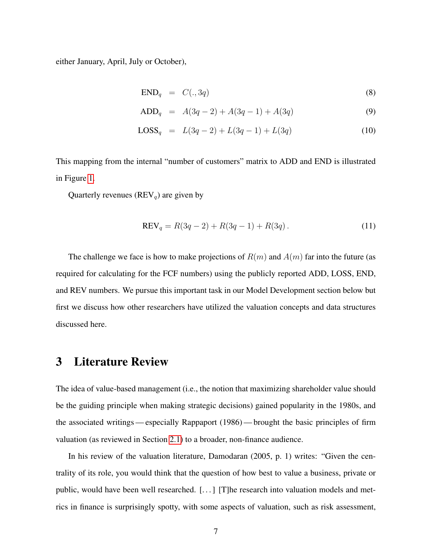either January, April, July or October),

<span id="page-9-0"></span>
$$
END_q = C(., 3q) \tag{8}
$$

$$
ADD_q = A(3q - 2) + A(3q - 1) + A(3q)
$$
\n(9)

$$
LOSS_q = L(3q - 2) + L(3q - 1) + L(3q)
$$
\n(10)

This mapping from the internal "number of customers" matrix to ADD and END is illustrated in Figure [1.](#page-46-0)

Quarterly revenues ( $REV_q$ ) are given by

$$
REV_q = R(3q - 2) + R(3q - 1) + R(3q).
$$
 (11)

The challenge we face is how to make projections of  $R(m)$  and  $A(m)$  far into the future (as required for calculating for the FCF numbers) using the publicly reported ADD, LOSS, END, and REV numbers. We pursue this important task in our Model Development section below but first we discuss how other researchers have utilized the valuation concepts and data structures discussed here.

# 3 Literature Review

The idea of value-based management (i.e., the notion that maximizing shareholder value should be the guiding principle when making strategic decisions) gained popularity in the 1980s, and the associated writings — especially Rappaport (1986) — brought the basic principles of firm valuation (as reviewed in Section [2.1\)](#page-5-3) to a broader, non-finance audience.

In his review of the valuation literature, Damodaran (2005, p. 1) writes: "Given the centrality of its role, you would think that the question of how best to value a business, private or public, would have been well researched. [...] [T]he research into valuation models and metrics in finance is surprisingly spotty, with some aspects of valuation, such as risk assessment,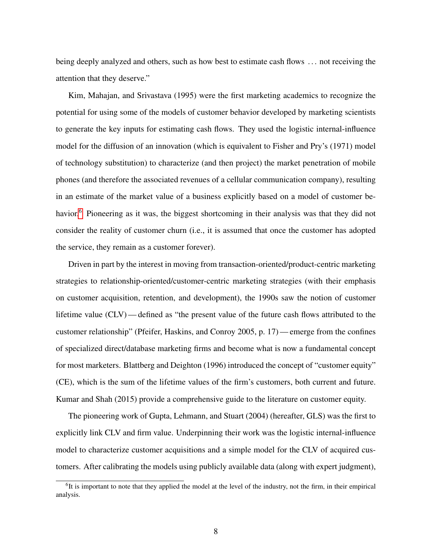being deeply analyzed and others, such as how best to estimate cash flows . . . not receiving the attention that they deserve."

Kim, Mahajan, and Srivastava (1995) were the first marketing academics to recognize the potential for using some of the models of customer behavior developed by marketing scientists to generate the key inputs for estimating cash flows. They used the logistic internal-influence model for the diffusion of an innovation (which is equivalent to Fisher and Pry's (1971) model of technology substitution) to characterize (and then project) the market penetration of mobile phones (and therefore the associated revenues of a cellular communication company), resulting in an estimate of the market value of a business explicitly based on a model of customer be-havior.<sup>[6](#page-10-0)</sup> Pioneering as it was, the biggest shortcoming in their analysis was that they did not consider the reality of customer churn (i.e., it is assumed that once the customer has adopted the service, they remain as a customer forever).

Driven in part by the interest in moving from transaction-oriented/product-centric marketing strategies to relationship-oriented/customer-centric marketing strategies (with their emphasis on customer acquisition, retention, and development), the 1990s saw the notion of customer lifetime value (CLV) — defined as "the present value of the future cash flows attributed to the customer relationship" (Pfeifer, Haskins, and Conroy 2005, p. 17) — emerge from the confines of specialized direct/database marketing firms and become what is now a fundamental concept for most marketers. Blattberg and Deighton (1996) introduced the concept of "customer equity" (CE), which is the sum of the lifetime values of the firm's customers, both current and future. Kumar and Shah (2015) provide a comprehensive guide to the literature on customer equity.

The pioneering work of Gupta, Lehmann, and Stuart (2004) (hereafter, GLS) was the first to explicitly link CLV and firm value. Underpinning their work was the logistic internal-influence model to characterize customer acquisitions and a simple model for the CLV of acquired customers. After calibrating the models using publicly available data (along with expert judgment),

<span id="page-10-0"></span><sup>&</sup>lt;sup>6</sup>It is important to note that they applied the model at the level of the industry, not the firm, in their empirical analysis.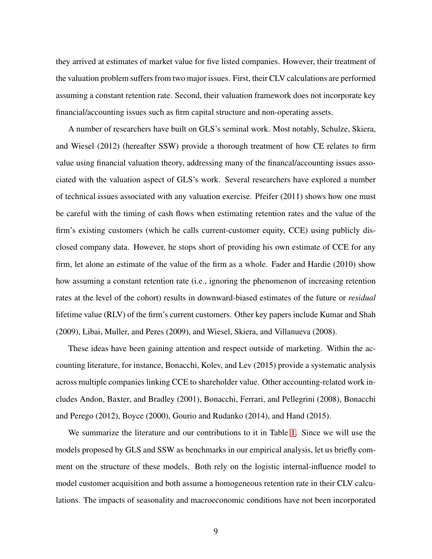they arrived at estimates of market value for five listed companies. However, their treatment of the valuation problem suffers from two major issues. First, their CLV calculations are performed assuming a constant retention rate. Second, their valuation framework does not incorporate key financial/accounting issues such as firm capital structure and non-operating assets.

A number of researchers have built on GLS's seminal work. Most notably, Schulze, Skiera, and Wiesel (2012) (hereafter SSW) provide a thorough treatment of how CE relates to firm value using financial valuation theory, addressing many of the financal/accounting issues associated with the valuation aspect of GLS's work. Several researchers have explored a number of technical issues associated with any valuation exercise. Pfeifer (2011) shows how one must be careful with the timing of cash flows when estimating retention rates and the value of the firm's existing customers (which he calls current-customer equity, CCE) using publicly disclosed company data. However, he stops short of providing his own estimate of CCE for any firm, let alone an estimate of the value of the firm as a whole. Fader and Hardie (2010) show how assuming a constant retention rate (i.e., ignoring the phenomenon of increasing retention rates at the level of the cohort) results in downward-biased estimates of the future or *residual* lifetime value (RLV) of the firm's current customers. Other key papers include Kumar and Shah (2009), Libai, Muller, and Peres (2009), and Wiesel, Skiera, and Villanueva (2008).

These ideas have been gaining attention and respect outside of marketing. Within the accounting literature, for instance, Bonacchi, Kolev, and Lev (2015) provide a systematic analysis across multiple companies linking CCE to shareholder value. Other accounting-related work includes Andon, Baxter, and Bradley (2001), Bonacchi, Ferrari, and Pellegrini (2008), Bonacchi and Perego (2012), Boyce (2000), Gourio and Rudanko (2014), and Hand (2015).

We summarize the literature and our contributions to it in Table [1.](#page-51-0) Since we will use the models proposed by GLS and SSW as benchmarks in our empirical analysis, let us briefly comment on the structure of these models. Both rely on the logistic internal-influence model to model customer acquisition and both assume a homogeneous retention rate in their CLV calculations. The impacts of seasonality and macroeconomic conditions have not been incorporated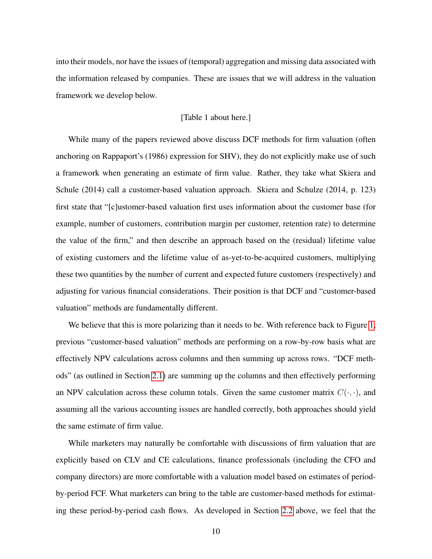into their models, nor have the issues of (temporal) aggregation and missing data associated with the information released by companies. These are issues that we will address in the valuation framework we develop below.

#### [Table 1 about here.]

While many of the papers reviewed above discuss DCF methods for firm valuation (often anchoring on Rappaport's (1986) expression for SHV), they do not explicitly make use of such a framework when generating an estimate of firm value. Rather, they take what Skiera and Schule (2014) call a customer-based valuation approach. Skiera and Schulze (2014, p. 123) first state that "[c]ustomer-based valuation first uses information about the customer base (for example, number of customers, contribution margin per customer, retention rate) to determine the value of the firm," and then describe an approach based on the (residual) lifetime value of existing customers and the lifetime value of as-yet-to-be-acquired customers, multiplying these two quantities by the number of current and expected future customers (respectively) and adjusting for various financial considerations. Their position is that DCF and "customer-based valuation" methods are fundamentally different.

We believe that this is more polarizing than it needs to be. With reference back to Figure [1,](#page-46-0) previous "customer-based valuation" methods are performing on a row-by-row basis what are effectively NPV calculations across columns and then summing up across rows. "DCF methods" (as outlined in Section [2.1\)](#page-5-3) are summing up the columns and then effectively performing an NPV calculation across these column totals. Given the same customer matrix  $C(\cdot, \cdot)$ , and assuming all the various accounting issues are handled correctly, both approaches should yield the same estimate of firm value.

While marketers may naturally be comfortable with discussions of firm valuation that are explicitly based on CLV and CE calculations, finance professionals (including the CFO and company directors) are more comfortable with a valuation model based on estimates of periodby-period FCF. What marketers can bring to the table are customer-based methods for estimating these period-by-period cash flows. As developed in Section [2.2](#page-6-3) above, we feel that the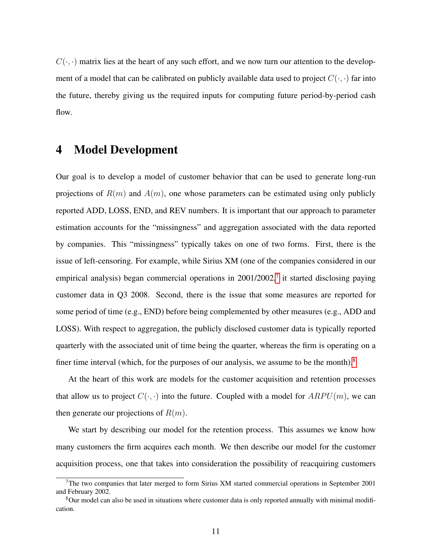$C(\cdot, \cdot)$  matrix lies at the heart of any such effort, and we now turn our attention to the development of a model that can be calibrated on publicly available data used to project  $C(\cdot, \cdot)$  far into the future, thereby giving us the required inputs for computing future period-by-period cash flow.

# 4 Model Development

Our goal is to develop a model of customer behavior that can be used to generate long-run projections of  $R(m)$  and  $A(m)$ , one whose parameters can be estimated using only publicly reported ADD, LOSS, END, and REV numbers. It is important that our approach to parameter estimation accounts for the "missingness" and aggregation associated with the data reported by companies. This "missingness" typically takes on one of two forms. First, there is the issue of left-censoring. For example, while Sirius XM (one of the companies considered in our empirical analysis) began commercial operations in  $2001/2002$ ,<sup>[7](#page-13-0)</sup> it started disclosing paying customer data in Q3 2008. Second, there is the issue that some measures are reported for some period of time (e.g., END) before being complemented by other measures (e.g., ADD and LOSS). With respect to aggregation, the publicly disclosed customer data is typically reported quarterly with the associated unit of time being the quarter, whereas the firm is operating on a finer time interval (which, for the purposes of our analysis, we assume to be the month).<sup>[8](#page-13-1)</sup>

At the heart of this work are models for the customer acquisition and retention processes that allow us to project  $C(\cdot, \cdot)$  into the future. Coupled with a model for  $ARPU(m)$ , we can then generate our projections of  $R(m)$ .

We start by describing our model for the retention process. This assumes we know how many customers the firm acquires each month. We then describe our model for the customer acquisition process, one that takes into consideration the possibility of reacquiring customers

<span id="page-13-0"></span> $7$ The two companies that later merged to form Sirius XM started commercial operations in September 2001 and February 2002.

<span id="page-13-1"></span><sup>8</sup>Our model can also be used in situations where customer data is only reported annually with minimal modification.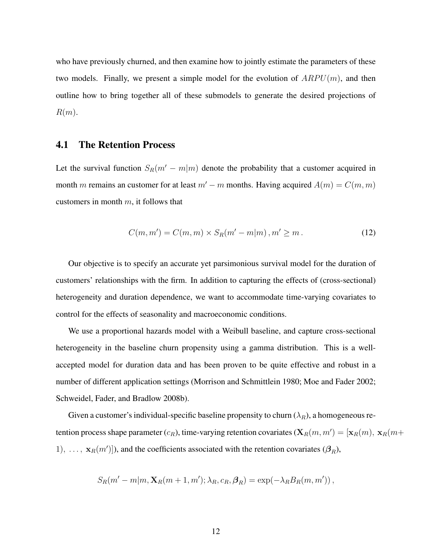who have previously churned, and then examine how to jointly estimate the parameters of these two models. Finally, we present a simple model for the evolution of  $ARPU(m)$ , and then outline how to bring together all of these submodels to generate the desired projections of  $R(m)$ .

# 4.1 The Retention Process

Let the survival function  $S_R(m' - m|m)$  denote the probability that a customer acquired in month m remains an customer for at least  $m' - m$  months. Having acquired  $A(m) = C(m, m)$ customers in month  $m$ , it follows that

<span id="page-14-0"></span>
$$
C(m, m') = C(m, m) \times S_R(m' - m|m), m' \ge m.
$$
 (12)

Our objective is to specify an accurate yet parsimonious survival model for the duration of customers' relationships with the firm. In addition to capturing the effects of (cross-sectional) heterogeneity and duration dependence, we want to accommodate time-varying covariates to control for the effects of seasonality and macroeconomic conditions.

We use a proportional hazards model with a Weibull baseline, and capture cross-sectional heterogeneity in the baseline churn propensity using a gamma distribution. This is a wellaccepted model for duration data and has been proven to be quite effective and robust in a number of different application settings (Morrison and Schmittlein 1980; Moe and Fader 2002; Schweidel, Fader, and Bradlow 2008b).

Given a customer's individual-specific baseline propensity to churn ( $\lambda_R$ ), a homogeneous retention process shape parameter ( $c_R$ ), time-varying retention covariates ( ${\bf X}_R(m,m')=[{\bf x}_R(m),\,{\bf x}_R(m+$ 1), ...,  $\mathbf{x}_R(m')$ , and the coefficients associated with the retention covariates  $(\beta_R)$ ,

$$
S_R(m'-m|m,\mathbf{X}_R(m+1,m');\lambda_R,c_R,\boldsymbol{\beta}_R)=\exp(-\lambda_R B_R(m,m'))\,,
$$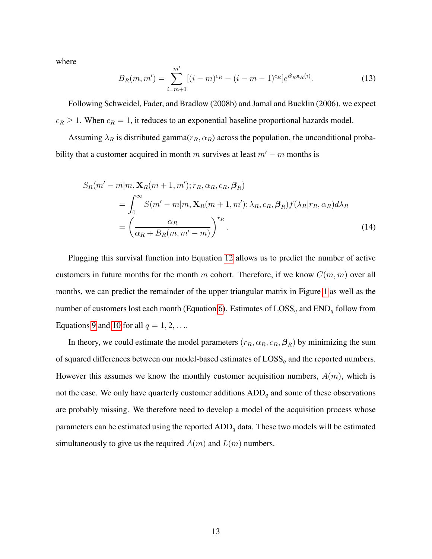where

$$
B_R(m, m') = \sum_{i=m+1}^{m'} [(i-m)^{c_R} - (i-m-1)^{c_R}] e^{\beta_R \mathbf{x}_R(i)}.
$$
 (13)

Following Schweidel, Fader, and Bradlow (2008b) and Jamal and Bucklin (2006), we expect  $c_R \geq 1$ . When  $c_R = 1$ , it reduces to an exponential baseline proportional hazards model.

Assuming  $\lambda_R$  is distributed gamma $(r_R, \alpha_R)$  across the population, the unconditional probability that a customer acquired in month m survives at least  $m' - m$  months is

$$
S_R(m'-m|m, \mathbf{X}_R(m+1, m'); r_R, \alpha_R, c_R, \beta_R)
$$
  
= 
$$
\int_0^\infty S(m'-m|m, \mathbf{X}_R(m+1, m'); \lambda_R, c_R, \beta_R) f(\lambda_R|r_R, \alpha_R) d\lambda_R
$$
  
= 
$$
\left(\frac{\alpha_R}{\alpha_R + B_R(m, m'-m)}\right)^{r_R}.
$$
 (14)

Plugging this survival function into Equation [12](#page-14-0) allows us to predict the number of active customers in future months for the month m cohort. Therefore, if we know  $C(m, m)$  over all months, we can predict the remainder of the upper triangular matrix in Figure [1](#page-46-0) as well as the number of customers lost each month (Equation [6\)](#page-8-1). Estimates of  $\text{LOSS}_q$  and  $\text{END}_q$  follow from Equations [9](#page-9-0) and [10](#page-9-0) for all  $q = 1, 2, \ldots$ 

In theory, we could estimate the model parameters  $(r_R, \alpha_R, c_R, \beta_R)$  by minimizing the sum of squared differences between our model-based estimates of  $\text{LOSS}_q$  and the reported numbers. However this assumes we know the monthly customer acquisition numbers,  $A(m)$ , which is not the case. We only have quarterly customer additions  $ADD<sub>q</sub>$  and some of these observations are probably missing. We therefore need to develop a model of the acquisition process whose parameters can be estimated using the reported  $ADD<sub>q</sub>$  data. These two models will be estimated simultaneously to give us the required  $A(m)$  and  $L(m)$  numbers.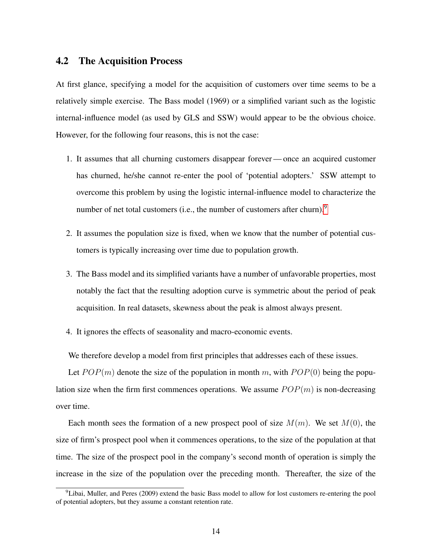## 4.2 The Acquisition Process

At first glance, specifying a model for the acquisition of customers over time seems to be a relatively simple exercise. The Bass model (1969) or a simplified variant such as the logistic internal-influence model (as used by GLS and SSW) would appear to be the obvious choice. However, for the following four reasons, this is not the case:

- 1. It assumes that all churning customers disappear forever— once an acquired customer has churned, he/she cannot re-enter the pool of 'potential adopters.' SSW attempt to overcome this problem by using the logistic internal-influence model to characterize the number of net total customers (i.e., the number of customers after churn).<sup>[9](#page-16-0)</sup>
- 2. It assumes the population size is fixed, when we know that the number of potential customers is typically increasing over time due to population growth.
- 3. The Bass model and its simplified variants have a number of unfavorable properties, most notably the fact that the resulting adoption curve is symmetric about the period of peak acquisition. In real datasets, skewness about the peak is almost always present.
- 4. It ignores the effects of seasonality and macro-economic events.

We therefore develop a model from first principles that addresses each of these issues.

Let  $POP(m)$  denote the size of the population in month m, with  $POP(0)$  being the population size when the firm first commences operations. We assume  $POP(m)$  is non-decreasing over time.

Each month sees the formation of a new prospect pool of size  $M(m)$ . We set  $M(0)$ , the size of firm's prospect pool when it commences operations, to the size of the population at that time. The size of the prospect pool in the company's second month of operation is simply the increase in the size of the population over the preceding month. Thereafter, the size of the

<span id="page-16-0"></span><sup>&</sup>lt;sup>9</sup>Libai, Muller, and Peres (2009) extend the basic Bass model to allow for lost customers re-entering the pool of potential adopters, but they assume a constant retention rate.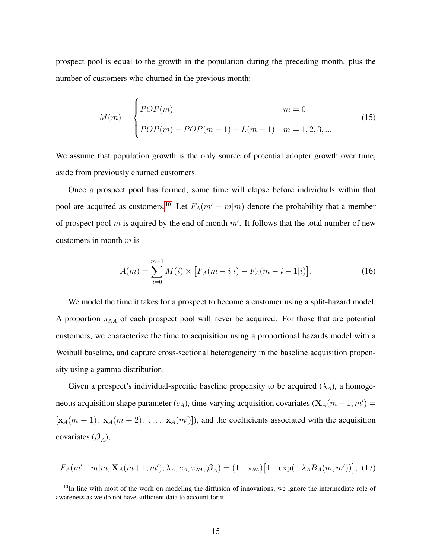prospect pool is equal to the growth in the population during the preceding month, plus the number of customers who churned in the previous month:

$$
M(m) = \begin{cases} POP(m) & m = 0 \\ POP(m) - POP(m-1) + L(m-1) & m = 1, 2, 3, ... \end{cases}
$$
 (15)

We assume that population growth is the only source of potential adopter growth over time, aside from previously churned customers.

Once a prospect pool has formed, some time will elapse before individuals within that pool are acquired as customers.<sup>[10](#page-17-0)</sup> Let  $F_A(m' - m|m)$  denote the probability that a member of prospect pool m is aquired by the end of month  $m'$ . It follows that the total number of new customers in month  $m$  is

$$
A(m) = \sum_{i=0}^{m-1} M(i) \times \left[ F_A(m-i|i) - F_A(m-i-1|i) \right].
$$
 (16)

We model the time it takes for a prospect to become a customer using a split-hazard model. A proportion  $\pi_{NA}$  of each prospect pool will never be acquired. For those that are potential customers, we characterize the time to acquisition using a proportional hazards model with a Weibull baseline, and capture cross-sectional heterogeneity in the baseline acquisition propensity using a gamma distribution.

Given a prospect's individual-specific baseline propensity to be acquired  $(\lambda_A)$ , a homogeneous acquisition shape parameter  $(c_A)$ , time-varying acquisition covariates  $(\mathbf{X}_A(m+1, m') =$  $[\mathbf{x}_A(m+1), \mathbf{x}_A(m+2), \ldots, \mathbf{x}_A(m')]$ , and the coefficients associated with the acquisition covariates  $(\beta_A)$ ,

$$
F_A(m'-m|m, \mathbf{X}_A(m+1, m'); \lambda_A, c_A, \pi_{NA}, \boldsymbol{\beta}_A) = (1 - \pi_{NA})[1 - \exp(-\lambda_A B_A(m, m'))], (17)
$$

<span id="page-17-0"></span> $10$ In line with most of the work on modeling the diffusion of innovations, we ignore the intermediate role of awareness as we do not have sufficient data to account for it.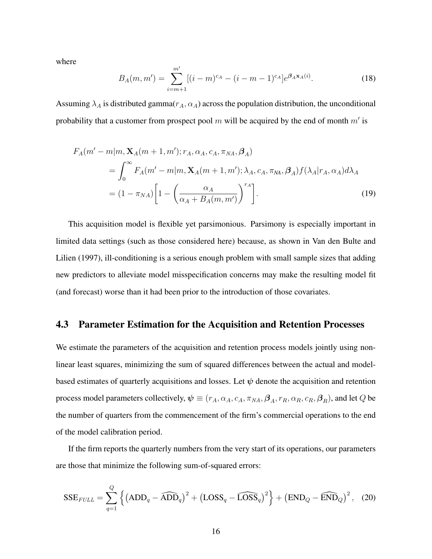where

$$
B_A(m, m') = \sum_{i=m+1}^{m'} [(i-m)^{c_A} - (i-m-1)^{c_A}] e^{\beta_A \mathbf{x}_A(i)}.
$$
 (18)

Assuming  $\lambda_A$  is distributed gamma( $r_A$ ,  $\alpha_A$ ) across the population distribution, the unconditional probability that a customer from prospect pool m will be acquired by the end of month  $m'$  is

$$
F_A(m'-m|m, \mathbf{X}_A(m+1,m'); r_A, \alpha_A, c_A, \pi_{NA}, \beta_A)
$$
  
= 
$$
\int_0^\infty F_A(m'-m|m, \mathbf{X}_A(m+1,m'); \lambda_A, c_A, \pi_{NA}, \beta_A) f(\lambda_A|r_A, \alpha_A) d\lambda_A
$$
  
= 
$$
(1 - \pi_{NA}) \left[ 1 - \left( \frac{\alpha_A}{\alpha_A + B_A(m,m')} \right)^{r_A} \right].
$$
 (19)

This acquisition model is flexible yet parsimonious. Parsimony is especially important in limited data settings (such as those considered here) because, as shown in Van den Bulte and Lilien (1997), ill-conditioning is a serious enough problem with small sample sizes that adding new predictors to alleviate model misspecification concerns may make the resulting model fit (and forecast) worse than it had been prior to the introduction of those covariates.

# <span id="page-18-1"></span>4.3 Parameter Estimation for the Acquisition and Retention Processes

We estimate the parameters of the acquisition and retention process models jointly using nonlinear least squares, minimizing the sum of squared differences between the actual and modelbased estimates of quarterly acquisitions and losses. Let  $\psi$  denote the acquisition and retention process model parameters collectively,  $\psi \equiv (r_A, \alpha_A, c_A, \pi_{NA}, \beta_A, r_R, \alpha_R, c_R, \beta_R)$ , and let Q be the number of quarters from the commencement of the firm's commercial operations to the end of the model calibration period.

If the firm reports the quarterly numbers from the very start of its operations, our parameters are those that minimize the following sum-of-squared errors:

<span id="page-18-0"></span>
$$
SSE_{FULL} = \sum_{q=1}^{Q} \left\{ \left( \text{ADD}_q - \widehat{\text{ADD}}_q \right)^2 + \left( \text{Loss}_q - \widehat{\text{LOS}}_q \right)^2 \right\} + \left( \text{END}_Q - \widehat{\text{END}}_Q \right)^2, \quad (20)
$$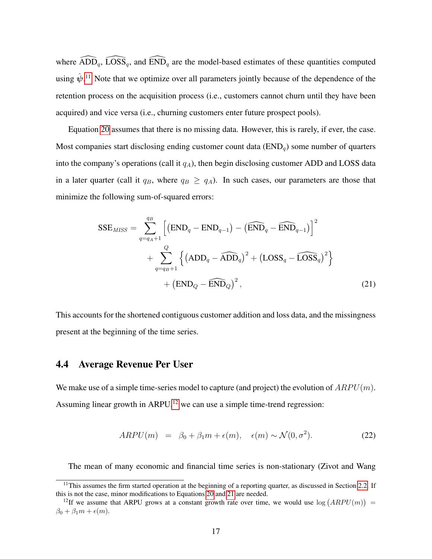where  $\widehat{ADD}_q$ ,  $\widehat{LOSS}_q$ , and  $\widehat{END}_q$  are the model-based estimates of these quantities computed using  $\hat{\psi}$ .<sup>[11](#page-19-0)</sup> Note that we optimize over all parameters jointly because of the dependence of the retention process on the acquisition process (i.e., customers cannot churn until they have been acquired) and vice versa (i.e., churning customers enter future prospect pools).

Equation [20](#page-18-0) assumes that there is no missing data. However, this is rarely, if ever, the case. Most companies start disclosing ending customer count data  $(END<sub>a</sub>)$  some number of quarters into the company's operations (call it  $q_A$ ), then begin disclosing customer ADD and LOSS data in a later quarter (call it  $q_B$ , where  $q_B \ge q_A$ ). In such cases, our parameters are those that minimize the following sum-of-squared errors:

<span id="page-19-2"></span>
$$
SSE_{MISS} = \sum_{q=q_A+1}^{q_B} \left[ \left( END_q - END_{q-1} \right) - \left( \widehat{END}_q - \widehat{END}_{q-1} \right) \right]^2 + \sum_{q=q_B+1}^{Q} \left\{ \left( ADD_q - \widehat{ADD}_q \right)^2 + \left( LOSS_q - \widehat{LOSS}_q \right)^2 \right\} + \left( END_Q - \widehat{END}_Q \right)^2, \tag{21}
$$

This accounts for the shortened contiguous customer addition and loss data, and the missingness present at the beginning of the time series.

# <span id="page-19-4"></span>4.4 Average Revenue Per User

We make use of a simple time-series model to capture (and project) the evolution of  $ARPU(m)$ . Assuming linear growth in ARPU,<sup>[12](#page-19-1)</sup> we can use a simple time-trend regression:

<span id="page-19-3"></span>
$$
ARPU(m) = \beta_0 + \beta_1 m + \epsilon(m), \quad \epsilon(m) \sim \mathcal{N}(0, \sigma^2). \tag{22}
$$

The mean of many economic and financial time series is non-stationary (Zivot and Wang

<span id="page-19-0"></span> $11$ This assumes the firm started operation at the beginning of a reporting quarter, as discussed in Section [2.2.](#page-6-3) If this is not the case, minor modifications to Equations [20](#page-18-0) and [21](#page-19-2) are needed.

<span id="page-19-1"></span><sup>&</sup>lt;sup>12</sup>If we assume that ARPU grows at a constant growth rate over time, we would use  $log(ARPU(m))$  =  $\beta_0 + \beta_1 m + \epsilon(m)$ .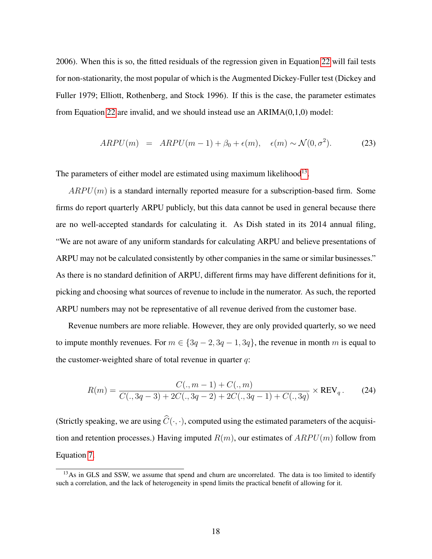2006). When this is so, the fitted residuals of the regression given in Equation [22](#page-19-3) will fail tests for non-stationarity, the most popular of which is the Augmented Dickey-Fuller test (Dickey and Fuller 1979; Elliott, Rothenberg, and Stock 1996). If this is the case, the parameter estimates from Equation [22](#page-19-3) are invalid, and we should instead use an ARIMA(0,1,0) model:

<span id="page-20-1"></span>
$$
ARPU(m) = ARPU(m-1) + \beta_0 + \epsilon(m), \quad \epsilon(m) \sim \mathcal{N}(0, \sigma^2). \tag{23}
$$

The parameters of either model are estimated using maximum likelihood<sup>[13](#page-20-0)</sup>.

 $ARPU(m)$  is a standard internally reported measure for a subscription-based firm. Some firms do report quarterly ARPU publicly, but this data cannot be used in general because there are no well-accepted standards for calculating it. As Dish stated in its 2014 annual filing, "We are not aware of any uniform standards for calculating ARPU and believe presentations of ARPU may not be calculated consistently by other companies in the same or similar businesses." As there is no standard definition of ARPU, different firms may have different definitions for it, picking and choosing what sources of revenue to include in the numerator. As such, the reported ARPU numbers may not be representative of all revenue derived from the customer base.

Revenue numbers are more reliable. However, they are only provided quarterly, so we need to impute monthly revenues. For  $m \in \{3q-2, 3q-1, 3q\}$ , the revenue in month m is equal to the customer-weighted share of total revenue in quarter  $q$ :

$$
R(m) = \frac{C(.,m-1) + C(.,m)}{C(.,3q-3) + 2C(.,3q-2) + 2C(.,3q-1) + C(.,3q)} \times \text{REV}_q.
$$
 (24)

(Strictly speaking, we are using  $\widehat{C}(\cdot, \cdot)$ , computed using the estimated parameters of the acquisition and retention processes.) Having imputed  $R(m)$ , our estimates of  $ARPU(m)$  follow from Equation [7.](#page-8-2)

<span id="page-20-0"></span><sup>&</sup>lt;sup>13</sup>As in GLS and SSW, we assume that spend and churn are uncorrelated. The data is too limited to identify such a correlation, and the lack of heterogeneity in spend limits the practical benefit of allowing for it.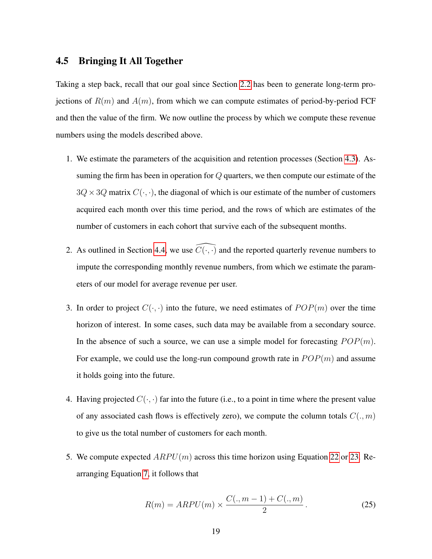## <span id="page-21-0"></span>4.5 Bringing It All Together

Taking a step back, recall that our goal since Section [2.2](#page-6-3) has been to generate long-term projections of  $R(m)$  and  $A(m)$ , from which we can compute estimates of period-by-period FCF and then the value of the firm. We now outline the process by which we compute these revenue numbers using the models described above.

- 1. We estimate the parameters of the acquisition and retention processes (Section [4.3\)](#page-18-1). Assuming the firm has been in operation for Q quarters, we then compute our estimate of the  $3Q \times 3Q$  matrix  $C(\cdot, \cdot)$ , the diagonal of which is our estimate of the number of customers acquired each month over this time period, and the rows of which are estimates of the number of customers in each cohort that survive each of the subsequent months.
- 2. As outlined in Section [4.4,](#page-19-4) we use  $\widehat{C(\cdot, \cdot)}$  and the reported quarterly revenue numbers to impute the corresponding monthly revenue numbers, from which we estimate the parameters of our model for average revenue per user.
- 3. In order to project  $C(\cdot, \cdot)$  into the future, we need estimates of  $POP(m)$  over the time horizon of interest. In some cases, such data may be available from a secondary source. In the absence of such a source, we can use a simple model for forecasting  $POP(m)$ . For example, we could use the long-run compound growth rate in  $POP(m)$  and assume it holds going into the future.
- 4. Having projected  $C(\cdot, \cdot)$  far into the future (i.e., to a point in time where the present value of any associated cash flows is effectively zero), we compute the column totals  $C(., m)$ to give us the total number of customers for each month.
- 5. We compute expected  $ARPU(m)$  across this time horizon using Equation [22](#page-19-3) or [23.](#page-20-1) Rearranging Equation [7,](#page-8-2) it follows that

$$
R(m) = ARPU(m) \times \frac{C(.,m-1) + C(.,m)}{2}.
$$
 (25)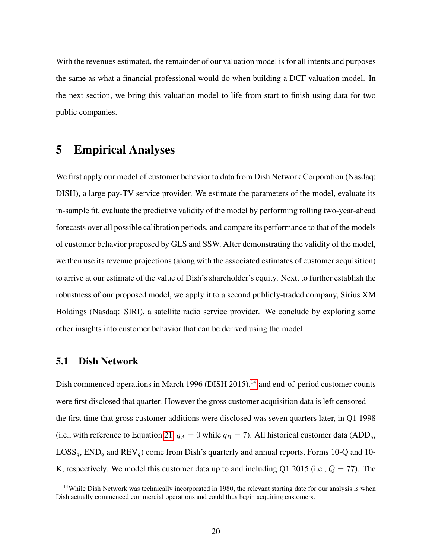With the revenues estimated, the remainder of our valuation model is for all intents and purposes the same as what a financial professional would do when building a DCF valuation model. In the next section, we bring this valuation model to life from start to finish using data for two public companies.

# 5 Empirical Analyses

We first apply our model of customer behavior to data from Dish Network Corporation (Nasdaq: DISH), a large pay-TV service provider. We estimate the parameters of the model, evaluate its in-sample fit, evaluate the predictive validity of the model by performing rolling two-year-ahead forecasts over all possible calibration periods, and compare its performance to that of the models of customer behavior proposed by GLS and SSW. After demonstrating the validity of the model, we then use its revenue projections (along with the associated estimates of customer acquisition) to arrive at our estimate of the value of Dish's shareholder's equity. Next, to further establish the robustness of our proposed model, we apply it to a second publicly-traded company, Sirius XM Holdings (Nasdaq: SIRI), a satellite radio service provider. We conclude by exploring some other insights into customer behavior that can be derived using the model.

# 5.1 Dish Network

Dish commenced operations in March 1996 (DISH 2015),<sup>[14](#page-22-0)</sup> and end-of-period customer counts were first disclosed that quarter. However the gross customer acquisition data is left censored the first time that gross customer additions were disclosed was seven quarters later, in Q1 1998 (i.e., with reference to Equation [21,](#page-19-2)  $q_A = 0$  while  $q_B = 7$ ). All historical customer data (ADD<sub>q</sub>,  $\text{LOSS}_q$ ,  $\text{END}_q$  and  $\text{REV}_q$ ) come from Dish's quarterly and annual reports, Forms 10-Q and 10-K, respectively. We model this customer data up to and including Q1 2015 (i.e.,  $Q = 77$ ). The

<span id="page-22-0"></span><sup>&</sup>lt;sup>14</sup>While Dish Network was technically incorporated in 1980, the relevant starting date for our analysis is when Dish actually commenced commercial operations and could thus begin acquiring customers.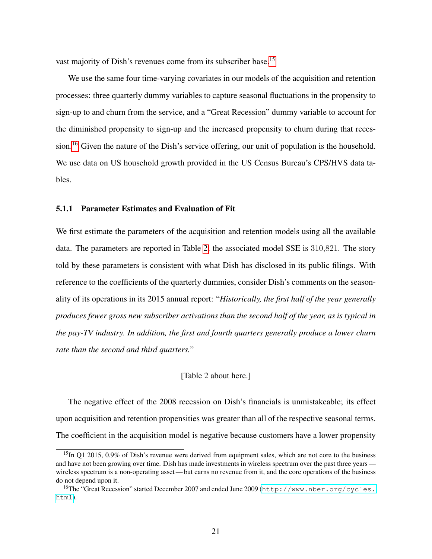vast majority of Dish's revenues come from its subscriber base.<sup>[15](#page-23-0)</sup>

We use the same four time-varying covariates in our models of the acquisition and retention processes: three quarterly dummy variables to capture seasonal fluctuations in the propensity to sign-up to and churn from the service, and a "Great Recession" dummy variable to account for the diminished propensity to sign-up and the increased propensity to churn during that reces-sion.<sup>[16](#page-23-1)</sup> Given the nature of the Dish's service offering, our unit of population is the household. We use data on US household growth provided in the US Census Bureau's CPS/HVS data tables.

#### 5.1.1 Parameter Estimates and Evaluation of Fit

We first estimate the parameters of the acquisition and retention models using all the available data. The parameters are reported in Table [2;](#page-52-0) the associated model SSE is 310,821. The story told by these parameters is consistent with what Dish has disclosed in its public filings. With reference to the coefficients of the quarterly dummies, consider Dish's comments on the seasonality of its operations in its 2015 annual report: "*Historically, the first half of the year generally produces fewer gross new subscriber activations than the second half of the year, as is typical in the pay-TV industry. In addition, the first and fourth quarters generally produce a lower churn rate than the second and third quarters.*"

#### [Table 2 about here.]

The negative effect of the 2008 recession on Dish's financials is unmistakeable; its effect upon acquisition and retention propensities was greater than all of the respective seasonal terms. The coefficient in the acquisition model is negative because customers have a lower propensity

<span id="page-23-0"></span><sup>&</sup>lt;sup>15</sup>In Q1 2015, 0.9% of Dish's revenue were derived from equipment sales, which are not core to the business and have not been growing over time. Dish has made investments in wireless spectrum over the past three years wireless spectrum is a non-operating asset— but earns no revenue from it, and the core operations of the business do not depend upon it.

<span id="page-23-1"></span><sup>&</sup>lt;sup>16</sup>The "Great Recession" started December 2007 and ended June 2009 ([http://www.nber.org/cycles.](http://www.nber.org/cycles.html) [html](http://www.nber.org/cycles.html)).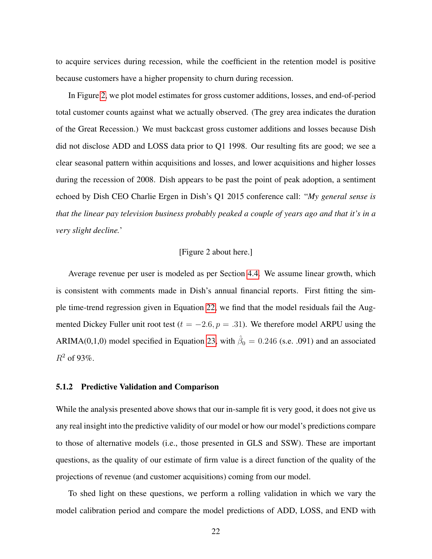to acquire services during recession, while the coefficient in the retention model is positive because customers have a higher propensity to churn during recession.

In Figure [2,](#page-47-0) we plot model estimates for gross customer additions, losses, and end-of-period total customer counts against what we actually observed. (The grey area indicates the duration of the Great Recession.) We must backcast gross customer additions and losses because Dish did not disclose ADD and LOSS data prior to Q1 1998. Our resulting fits are good; we see a clear seasonal pattern within acquisitions and losses, and lower acquisitions and higher losses during the recession of 2008. Dish appears to be past the point of peak adoption, a sentiment echoed by Dish CEO Charlie Ergen in Dish's Q1 2015 conference call: "*My general sense is that the linear pay television business probably peaked a couple of years ago and that it's in a very slight decline.*'

## [Figure 2 about here.]

Average revenue per user is modeled as per Section [4.4.](#page-19-4) We assume linear growth, which is consistent with comments made in Dish's annual financial reports. First fitting the simple time-trend regression given in Equation [22,](#page-19-3) we find that the model residuals fail the Augmented Dickey Fuller unit root test ( $t = -2.6$ ,  $p = .31$ ). We therefore model ARPU using the ARIMA(0,1,0) model specified in Equation [23,](#page-20-1) with  $\hat{\beta}_0 = 0.246$  (s.e. .091) and an associated  $R^2$  of 93%.

#### <span id="page-24-0"></span>5.1.2 Predictive Validation and Comparison

While the analysis presented above shows that our in-sample fit is very good, it does not give us any real insight into the predictive validity of our model or how our model's predictions compare to those of alternative models (i.e., those presented in GLS and SSW). These are important questions, as the quality of our estimate of firm value is a direct function of the quality of the projections of revenue (and customer acquisitions) coming from our model.

To shed light on these questions, we perform a rolling validation in which we vary the model calibration period and compare the model predictions of ADD, LOSS, and END with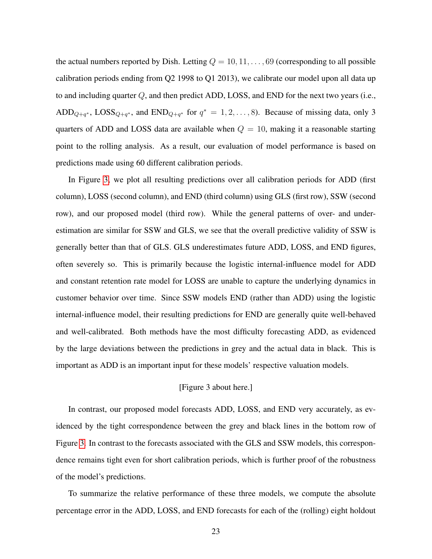the actual numbers reported by Dish. Letting  $Q = 10, 11, \ldots, 69$  (corresponding to all possible calibration periods ending from Q2 1998 to Q1 2013), we calibrate our model upon all data up to and including quarter  $Q$ , and then predict ADD, LOSS, and END for the next two years (i.e., ADD<sub>Q+q<sup>\*</sup></sub>, LOSS<sub>Q+q<sup>\*</sup></sub>, and END<sub>Q+q<sup>\*</sup></sub> for  $q^* = 1, 2, ..., 8$ ). Because of missing data, only 3 quarters of ADD and LOSS data are available when  $Q = 10$ , making it a reasonable starting point to the rolling analysis. As a result, our evaluation of model performance is based on predictions made using 60 different calibration periods.

In Figure [3,](#page-48-0) we plot all resulting predictions over all calibration periods for ADD (first column), LOSS (second column), and END (third column) using GLS (first row), SSW (second row), and our proposed model (third row). While the general patterns of over- and underestimation are similar for SSW and GLS, we see that the overall predictive validity of SSW is generally better than that of GLS. GLS underestimates future ADD, LOSS, and END figures, often severely so. This is primarily because the logistic internal-influence model for ADD and constant retention rate model for LOSS are unable to capture the underlying dynamics in customer behavior over time. Since SSW models END (rather than ADD) using the logistic internal-influence model, their resulting predictions for END are generally quite well-behaved and well-calibrated. Both methods have the most difficulty forecasting ADD, as evidenced by the large deviations between the predictions in grey and the actual data in black. This is important as ADD is an important input for these models' respective valuation models.

#### [Figure 3 about here.]

In contrast, our proposed model forecasts ADD, LOSS, and END very accurately, as evidenced by the tight correspondence between the grey and black lines in the bottom row of Figure [3.](#page-48-0) In contrast to the forecasts associated with the GLS and SSW models, this correspondence remains tight even for short calibration periods, which is further proof of the robustness of the model's predictions.

To summarize the relative performance of these three models, we compute the absolute percentage error in the ADD, LOSS, and END forecasts for each of the (rolling) eight holdout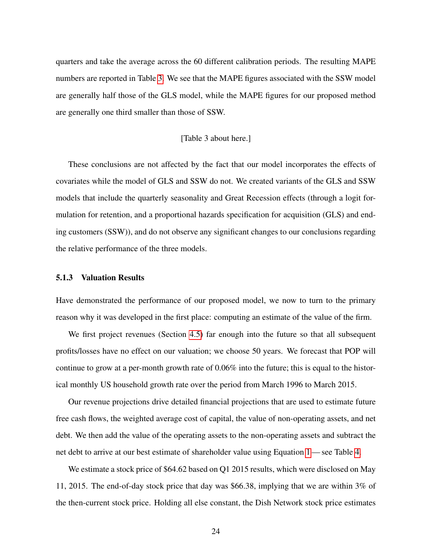quarters and take the average across the 60 different calibration periods. The resulting MAPE numbers are reported in Table [3.](#page-53-0) We see that the MAPE figures associated with the SSW model are generally half those of the GLS model, while the MAPE figures for our proposed method are generally one third smaller than those of SSW.

#### [Table 3 about here.]

These conclusions are not affected by the fact that our model incorporates the effects of covariates while the model of GLS and SSW do not. We created variants of the GLS and SSW models that include the quarterly seasonality and Great Recession effects (through a logit formulation for retention, and a proportional hazards specification for acquisition (GLS) and ending customers (SSW)), and do not observe any significant changes to our conclusions regarding the relative performance of the three models.

#### 5.1.3 Valuation Results

Have demonstrated the performance of our proposed model, we now to turn to the primary reason why it was developed in the first place: computing an estimate of the value of the firm.

We first project revenues (Section [4.5\)](#page-21-0) far enough into the future so that all subsequent profits/losses have no effect on our valuation; we choose 50 years. We forecast that POP will continue to grow at a per-month growth rate of 0.06% into the future; this is equal to the historical monthly US household growth rate over the period from March 1996 to March 2015.

Our revenue projections drive detailed financial projections that are used to estimate future free cash flows, the weighted average cost of capital, the value of non-operating assets, and net debt. We then add the value of the operating assets to the non-operating assets and subtract the net debt to arrive at our best estimate of shareholder value using Equation [1](#page-5-4)— see Table [4.](#page-54-0)

We estimate a stock price of \$64.62 based on Q1 2015 results, which were disclosed on May 11, 2015. The end-of-day stock price that day was \$66.38, implying that we are within 3% of the then-current stock price. Holding all else constant, the Dish Network stock price estimates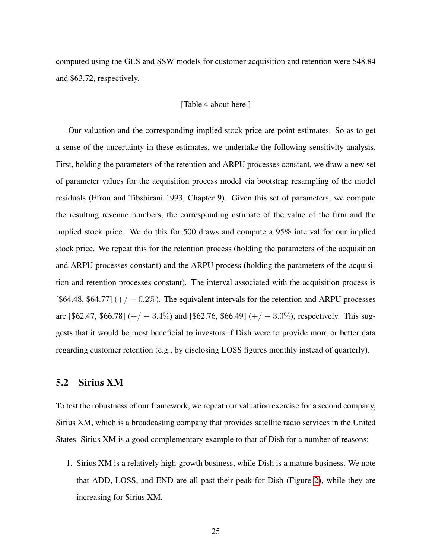computed using the GLS and SSW models for customer acquisition and retention were \$48.84 and \$63.72, respectively.

## [Table 4 about here.]

Our valuation and the corresponding implied stock price are point estimates. So as to get a sense of the uncertainty in these estimates, we undertake the following sensitivity analysis. First, holding the parameters of the retention and ARPU processes constant, we draw a new set of parameter values for the acquisition process model via bootstrap resampling of the model residuals (Efron and Tibshirani 1993, Chapter 9). Given this set of parameters, we compute the resulting revenue numbers, the corresponding estimate of the value of the firm and the implied stock price. We do this for 500 draws and compute a 95% interval for our implied stock price. We repeat this for the retention process (holding the parameters of the acquisition and ARPU processes constant) and the ARPU process (holding the parameters of the acquisition and retention processes constant). The interval associated with the acquisition process is [\$64.48, \$64.77]  $(+/- 0.2\%)$ . The equivalent intervals for the retention and ARPU processes are [\$62.47, \$66.78]  $(+/- 3.4\%)$  and [\$62.76, \$66.49]  $(+/- 3.0\%)$ , respectively. This suggests that it would be most beneficial to investors if Dish were to provide more or better data regarding customer retention (e.g., by disclosing LOSS figures monthly instead of quarterly).

## 5.2 Sirius XM

To test the robustness of our framework, we repeat our valuation exercise for a second company, Sirius XM, which is a broadcasting company that provides satellite radio services in the United States. Sirius XM is a good complementary example to that of Dish for a number of reasons:

1. Sirius XM is a relatively high-growth business, while Dish is a mature business. We note that ADD, LOSS, and END are all past their peak for Dish (Figure [2\)](#page-47-0), while they are increasing for Sirius XM.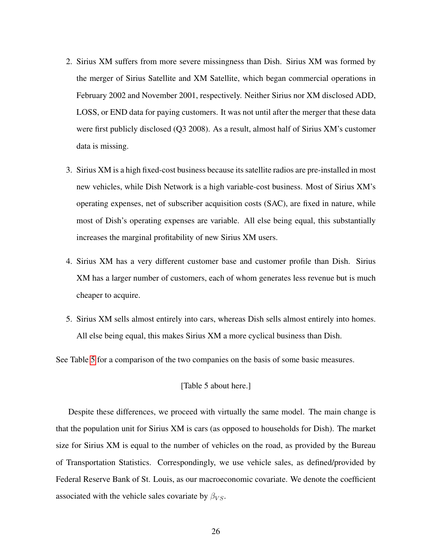- 2. Sirius XM suffers from more severe missingness than Dish. Sirius XM was formed by the merger of Sirius Satellite and XM Satellite, which began commercial operations in February 2002 and November 2001, respectively. Neither Sirius nor XM disclosed ADD, LOSS, or END data for paying customers. It was not until after the merger that these data were first publicly disclosed (Q3 2008). As a result, almost half of Sirius XM's customer data is missing.
- 3. Sirius XM is a high fixed-cost business because its satellite radios are pre-installed in most new vehicles, while Dish Network is a high variable-cost business. Most of Sirius XM's operating expenses, net of subscriber acquisition costs (SAC), are fixed in nature, while most of Dish's operating expenses are variable. All else being equal, this substantially increases the marginal profitability of new Sirius XM users.
- 4. Sirius XM has a very different customer base and customer profile than Dish. Sirius XM has a larger number of customers, each of whom generates less revenue but is much cheaper to acquire.
- 5. Sirius XM sells almost entirely into cars, whereas Dish sells almost entirely into homes. All else being equal, this makes Sirius XM a more cyclical business than Dish.

See Table [5](#page-55-0) for a comparison of the two companies on the basis of some basic measures.

#### [Table 5 about here.]

Despite these differences, we proceed with virtually the same model. The main change is that the population unit for Sirius XM is cars (as opposed to households for Dish). The market size for Sirius XM is equal to the number of vehicles on the road, as provided by the Bureau of Transportation Statistics. Correspondingly, we use vehicle sales, as defined/provided by Federal Reserve Bank of St. Louis, as our macroeconomic covariate. We denote the coefficient associated with the vehicle sales covariate by  $\beta_{VS}$ .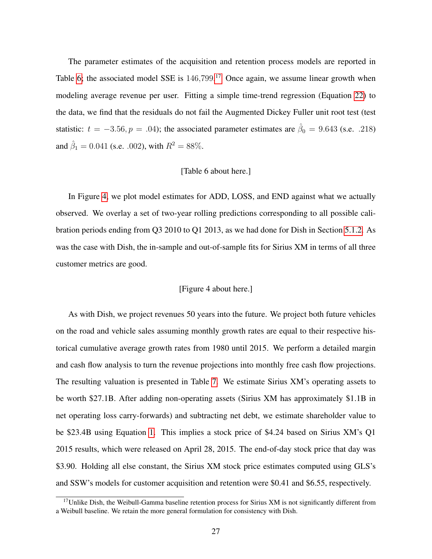The parameter estimates of the acquisition and retention process models are reported in Table [6;](#page-56-0) the associated model SSE is  $146,799$ .<sup>[17](#page-29-0)</sup> Once again, we assume linear growth when modeling average revenue per user. Fitting a simple time-trend regression (Equation [22\)](#page-19-3) to the data, we find that the residuals do not fail the Augmented Dickey Fuller unit root test (test statistic:  $t = -3.56, p = .04$ ); the associated parameter estimates are  $\hat{\beta}_0 = 9.643$  (s.e. .218) and  $\hat{\beta}_1 = 0.041$  (s.e. .002), with  $R^2 = 88\%$ .

### [Table 6 about here.]

In Figure [4,](#page-49-0) we plot model estimates for ADD, LOSS, and END against what we actually observed. We overlay a set of two-year rolling predictions corresponding to all possible calibration periods ending from Q3 2010 to Q1 2013, as we had done for Dish in Section [5.1.2.](#page-24-0) As was the case with Dish, the in-sample and out-of-sample fits for Sirius XM in terms of all three customer metrics are good.

# [Figure 4 about here.]

As with Dish, we project revenues 50 years into the future. We project both future vehicles on the road and vehicle sales assuming monthly growth rates are equal to their respective historical cumulative average growth rates from 1980 until 2015. We perform a detailed margin and cash flow analysis to turn the revenue projections into monthly free cash flow projections. The resulting valuation is presented in Table [7.](#page-57-0) We estimate Sirius XM's operating assets to be worth \$27.1B. After adding non-operating assets (Sirius XM has approximately \$1.1B in net operating loss carry-forwards) and subtracting net debt, we estimate shareholder value to be \$23.4B using Equation [1.](#page-5-4) This implies a stock price of \$4.24 based on Sirius XM's Q1 2015 results, which were released on April 28, 2015. The end-of-day stock price that day was \$3.90. Holding all else constant, the Sirius XM stock price estimates computed using GLS's and SSW's models for customer acquisition and retention were \$0.41 and \$6.55, respectively.

<span id="page-29-0"></span> $17$ Unlike Dish, the Weibull-Gamma baseline retention process for Sirius XM is not significantly different from a Weibull baseline. We retain the more general formulation for consistency with Dish.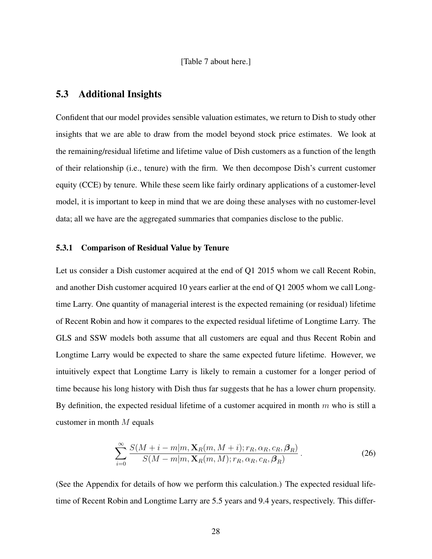[Table 7 about here.]

# <span id="page-30-0"></span>5.3 Additional Insights

Confident that our model provides sensible valuation estimates, we return to Dish to study other insights that we are able to draw from the model beyond stock price estimates. We look at the remaining/residual lifetime and lifetime value of Dish customers as a function of the length of their relationship (i.e., tenure) with the firm. We then decompose Dish's current customer equity (CCE) by tenure. While these seem like fairly ordinary applications of a customer-level model, it is important to keep in mind that we are doing these analyses with no customer-level data; all we have are the aggregated summaries that companies disclose to the public.

### <span id="page-30-1"></span>5.3.1 Comparison of Residual Value by Tenure

Let us consider a Dish customer acquired at the end of Q1 2015 whom we call Recent Robin, and another Dish customer acquired 10 years earlier at the end of Q1 2005 whom we call Longtime Larry. One quantity of managerial interest is the expected remaining (or residual) lifetime of Recent Robin and how it compares to the expected residual lifetime of Longtime Larry. The GLS and SSW models both assume that all customers are equal and thus Recent Robin and Longtime Larry would be expected to share the same expected future lifetime. However, we intuitively expect that Longtime Larry is likely to remain a customer for a longer period of time because his long history with Dish thus far suggests that he has a lower churn propensity. By definition, the expected residual lifetime of a customer acquired in month  $m$  who is still a customer in month  $M$  equals

$$
\sum_{i=0}^{\infty} \frac{S(M+i-m|m, \mathbf{X}_R(m, M+i); r_R, \alpha_R, c_R, \beta_R)}{S(M-m|m, \mathbf{X}_R(m, M); r_R, \alpha_R, c_R, \beta_R)}.
$$
 (26)

(See the Appendix for details of how we perform this calculation.) The expected residual lifetime of Recent Robin and Longtime Larry are 5.5 years and 9.4 years, respectively. This differ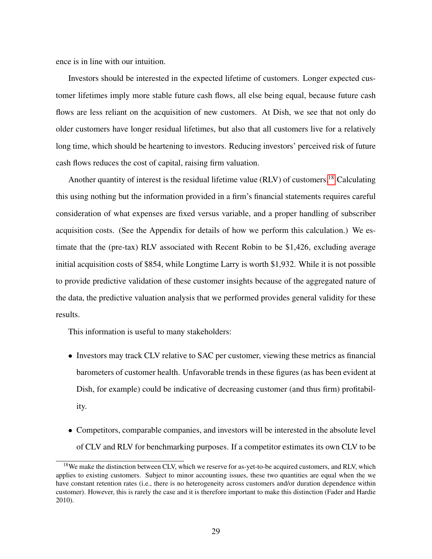ence is in line with our intuition.

Investors should be interested in the expected lifetime of customers. Longer expected customer lifetimes imply more stable future cash flows, all else being equal, because future cash flows are less reliant on the acquisition of new customers. At Dish, we see that not only do older customers have longer residual lifetimes, but also that all customers live for a relatively long time, which should be heartening to investors. Reducing investors' perceived risk of future cash flows reduces the cost of capital, raising firm valuation.

Another quantity of interest is the residual lifetime value (RLV) of customers.<sup>[18](#page-31-0)</sup> Calculating this using nothing but the information provided in a firm's financial statements requires careful consideration of what expenses are fixed versus variable, and a proper handling of subscriber acquisition costs. (See the Appendix for details of how we perform this calculation.) We estimate that the (pre-tax) RLV associated with Recent Robin to be \$1,426, excluding average initial acquisition costs of \$854, while Longtime Larry is worth \$1,932. While it is not possible to provide predictive validation of these customer insights because of the aggregated nature of the data, the predictive valuation analysis that we performed provides general validity for these results.

This information is useful to many stakeholders:

- Investors may track CLV relative to SAC per customer, viewing these metrics as financial barometers of customer health. Unfavorable trends in these figures (as has been evident at Dish, for example) could be indicative of decreasing customer (and thus firm) profitability.
- Competitors, comparable companies, and investors will be interested in the absolute level of CLV and RLV for benchmarking purposes. If a competitor estimates its own CLV to be

<span id="page-31-0"></span><sup>&</sup>lt;sup>18</sup>We make the distinction between CLV, which we reserve for as-yet-to-be acquired customers, and RLV, which applies to existing customers. Subject to minor accounting issues, these two quantities are equal when the we have constant retention rates (i.e., there is no heterogeneity across customers and/or duration dependence within customer). However, this is rarely the case and it is therefore important to make this distinction (Fader and Hardie 2010).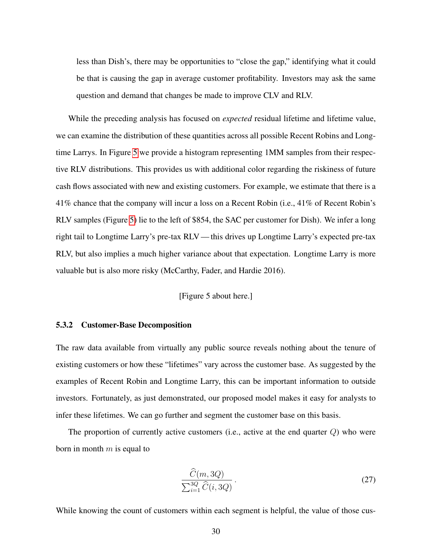less than Dish's, there may be opportunities to "close the gap," identifying what it could be that is causing the gap in average customer profitability. Investors may ask the same question and demand that changes be made to improve CLV and RLV.

While the preceding analysis has focused on *expected* residual lifetime and lifetime value, we can examine the distribution of these quantities across all possible Recent Robins and Longtime Larrys. In Figure [5](#page-50-0) we provide a histogram representing 1MM samples from their respective RLV distributions. This provides us with additional color regarding the riskiness of future cash flows associated with new and existing customers. For example, we estimate that there is a 41% chance that the company will incur a loss on a Recent Robin (i.e., 41% of Recent Robin's RLV samples (Figure [5\)](#page-50-0) lie to the left of \$854, the SAC per customer for Dish). We infer a long right tail to Longtime Larry's pre-tax RLV — this drives up Longtime Larry's expected pre-tax RLV, but also implies a much higher variance about that expectation. Longtime Larry is more valuable but is also more risky (McCarthy, Fader, and Hardie 2016).

### [Figure 5 about here.]

#### 5.3.2 Customer-Base Decomposition

The raw data available from virtually any public source reveals nothing about the tenure of existing customers or how these "lifetimes" vary across the customer base. As suggested by the examples of Recent Robin and Longtime Larry, this can be important information to outside investors. Fortunately, as just demonstrated, our proposed model makes it easy for analysts to infer these lifetimes. We can go further and segment the customer base on this basis.

The proportion of currently active customers (i.e., active at the end quarter  $Q$ ) who were born in month  $m$  is equal to

<span id="page-32-0"></span>
$$
\frac{\widehat{C}(m,3Q)}{\sum_{i=1}^{3Q}\widehat{C}(i,3Q)}.
$$
\n(27)

While knowing the count of customers within each segment is helpful, the value of those cus-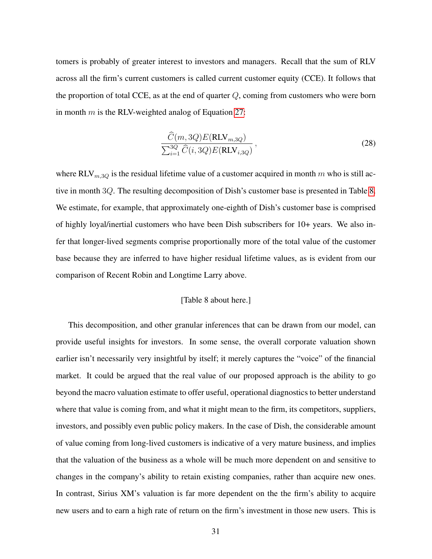tomers is probably of greater interest to investors and managers. Recall that the sum of RLV across all the firm's current customers is called current customer equity (CCE). It follows that the proportion of total CCE, as at the end of quarter  $Q$ , coming from customers who were born in month  $m$  is the RLV-weighted analog of Equation [27:](#page-32-0)

$$
\frac{\widehat{C}(m,3Q)E(\text{RLV}_{m,3Q})}{\sum_{i=1}^{3Q}\widehat{C}(i,3Q)E(\text{RLV}_{i,3Q})},
$$
\n(28)

where RLV<sub>m,3Q</sub> is the residual lifetime value of a customer acquired in month m who is still active in month 3Q. The resulting decomposition of Dish's customer base is presented in Table [8.](#page-58-0) We estimate, for example, that approximately one-eighth of Dish's customer base is comprised of highly loyal/inertial customers who have been Dish subscribers for 10+ years. We also infer that longer-lived segments comprise proportionally more of the total value of the customer base because they are inferred to have higher residual lifetime values, as is evident from our comparison of Recent Robin and Longtime Larry above.

## [Table 8 about here.]

This decomposition, and other granular inferences that can be drawn from our model, can provide useful insights for investors. In some sense, the overall corporate valuation shown earlier isn't necessarily very insightful by itself; it merely captures the "voice" of the financial market. It could be argued that the real value of our proposed approach is the ability to go beyond the macro valuation estimate to offer useful, operational diagnostics to better understand where that value is coming from, and what it might mean to the firm, its competitors, suppliers, investors, and possibly even public policy makers. In the case of Dish, the considerable amount of value coming from long-lived customers is indicative of a very mature business, and implies that the valuation of the business as a whole will be much more dependent on and sensitive to changes in the company's ability to retain existing companies, rather than acquire new ones. In contrast, Sirius XM's valuation is far more dependent on the the firm's ability to acquire new users and to earn a high rate of return on the firm's investment in those new users. This is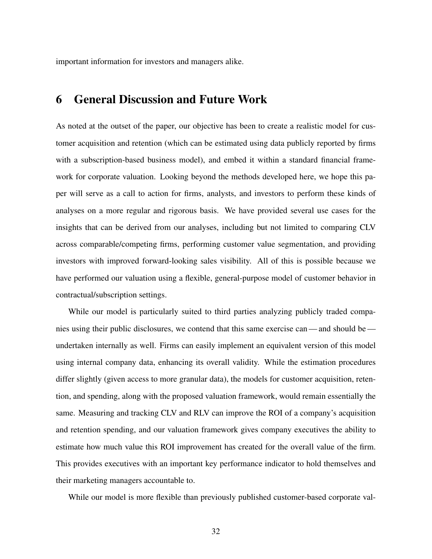important information for investors and managers alike.

# 6 General Discussion and Future Work

As noted at the outset of the paper, our objective has been to create a realistic model for customer acquisition and retention (which can be estimated using data publicly reported by firms with a subscription-based business model), and embed it within a standard financial framework for corporate valuation. Looking beyond the methods developed here, we hope this paper will serve as a call to action for firms, analysts, and investors to perform these kinds of analyses on a more regular and rigorous basis. We have provided several use cases for the insights that can be derived from our analyses, including but not limited to comparing CLV across comparable/competing firms, performing customer value segmentation, and providing investors with improved forward-looking sales visibility. All of this is possible because we have performed our valuation using a flexible, general-purpose model of customer behavior in contractual/subscription settings.

While our model is particularly suited to third parties analyzing publicly traded companies using their public disclosures, we contend that this same exercise can — and should be undertaken internally as well. Firms can easily implement an equivalent version of this model using internal company data, enhancing its overall validity. While the estimation procedures differ slightly (given access to more granular data), the models for customer acquisition, retention, and spending, along with the proposed valuation framework, would remain essentially the same. Measuring and tracking CLV and RLV can improve the ROI of a company's acquisition and retention spending, and our valuation framework gives company executives the ability to estimate how much value this ROI improvement has created for the overall value of the firm. This provides executives with an important key performance indicator to hold themselves and their marketing managers accountable to.

While our model is more flexible than previously published customer-based corporate val-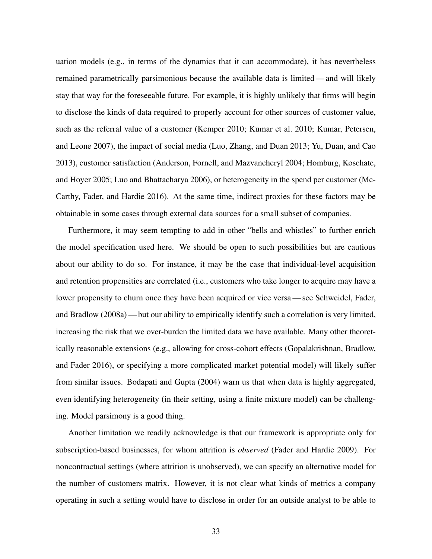uation models (e.g., in terms of the dynamics that it can accommodate), it has nevertheless remained parametrically parsimonious because the available data is limited — and will likely stay that way for the foreseeable future. For example, it is highly unlikely that firms will begin to disclose the kinds of data required to properly account for other sources of customer value, such as the referral value of a customer (Kemper 2010; Kumar et al. 2010; Kumar, Petersen, and Leone 2007), the impact of social media (Luo, Zhang, and Duan 2013; Yu, Duan, and Cao 2013), customer satisfaction (Anderson, Fornell, and Mazvancheryl 2004; Homburg, Koschate, and Hoyer 2005; Luo and Bhattacharya 2006), or heterogeneity in the spend per customer (Mc-Carthy, Fader, and Hardie 2016). At the same time, indirect proxies for these factors may be obtainable in some cases through external data sources for a small subset of companies.

Furthermore, it may seem tempting to add in other "bells and whistles" to further enrich the model specification used here. We should be open to such possibilities but are cautious about our ability to do so. For instance, it may be the case that individual-level acquisition and retention propensities are correlated (i.e., customers who take longer to acquire may have a lower propensity to churn once they have been acquired or vice versa — see Schweidel, Fader, and Bradlow (2008a) — but our ability to empirically identify such a correlation is very limited, increasing the risk that we over-burden the limited data we have available. Many other theoretically reasonable extensions (e.g., allowing for cross-cohort effects (Gopalakrishnan, Bradlow, and Fader 2016), or specifying a more complicated market potential model) will likely suffer from similar issues. Bodapati and Gupta (2004) warn us that when data is highly aggregated, even identifying heterogeneity (in their setting, using a finite mixture model) can be challenging. Model parsimony is a good thing.

Another limitation we readily acknowledge is that our framework is appropriate only for subscription-based businesses, for whom attrition is *observed* (Fader and Hardie 2009). For noncontractual settings (where attrition is unobserved), we can specify an alternative model for the number of customers matrix. However, it is not clear what kinds of metrics a company operating in such a setting would have to disclose in order for an outside analyst to be able to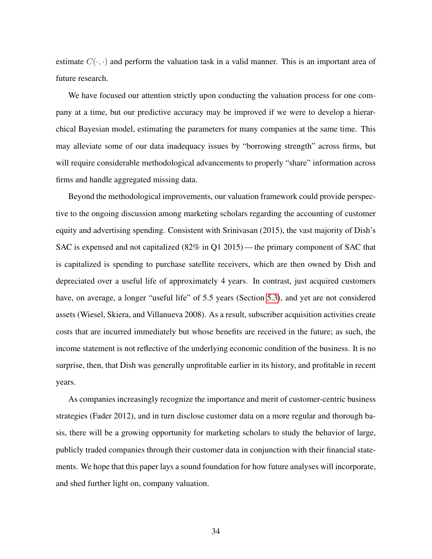estimate  $C(\cdot, \cdot)$  and perform the valuation task in a valid manner. This is an important area of future research.

We have focused our attention strictly upon conducting the valuation process for one company at a time, but our predictive accuracy may be improved if we were to develop a hierarchical Bayesian model, estimating the parameters for many companies at the same time. This may alleviate some of our data inadequacy issues by "borrowing strength" across firms, but will require considerable methodological advancements to properly "share" information across firms and handle aggregated missing data.

Beyond the methodological improvements, our valuation framework could provide perspective to the ongoing discussion among marketing scholars regarding the accounting of customer equity and advertising spending. Consistent with Srinivasan (2015), the vast majority of Dish's SAC is expensed and not capitalized (82% in Q1 2015) — the primary component of SAC that is capitalized is spending to purchase satellite receivers, which are then owned by Dish and depreciated over a useful life of approximately 4 years. In contrast, just acquired customers have, on average, a longer "useful life" of 5.5 years (Section [5.3\)](#page-30-0), and yet are not considered assets (Wiesel, Skiera, and Villanueva 2008). As a result, subscriber acquisition activities create costs that are incurred immediately but whose benefits are received in the future; as such, the income statement is not reflective of the underlying economic condition of the business. It is no surprise, then, that Dish was generally unprofitable earlier in its history, and profitable in recent years.

As companies increasingly recognize the importance and merit of customer-centric business strategies (Fader 2012), and in turn disclose customer data on a more regular and thorough basis, there will be a growing opportunity for marketing scholars to study the behavior of large, publicly traded companies through their customer data in conjunction with their financial statements. We hope that this paper lays a sound foundation for how future analyses will incorporate, and shed further light on, company valuation.

34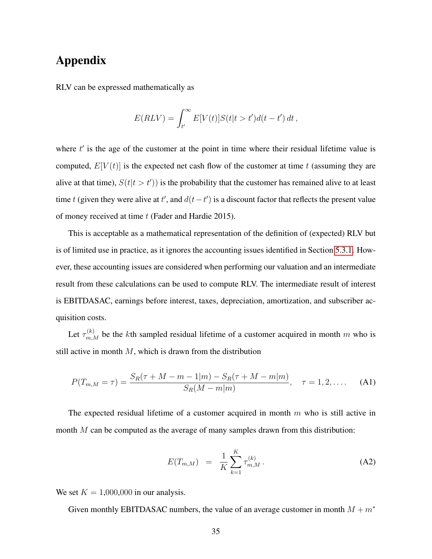# Appendix

RLV can be expressed mathematically as

$$
E(RLV) = \int_{t'}^{\infty} E[V(t)]S(t|t>t')d(t-t') dt,
$$

where  $t'$  is the age of the customer at the point in time where their residual lifetime value is computed,  $E[V(t)]$  is the expected net cash flow of the customer at time t (assuming they are alive at that time),  $S(t|t > t')$  is the probability that the customer has remained alive to at least time t (given they were alive at t', and  $d(t-t')$  is a discount factor that reflects the present value of money received at time t (Fader and Hardie 2015).

This is acceptable as a mathematical representation of the definition of (expected) RLV but is of limited use in practice, as it ignores the accounting issues identified in Section [5.3.1.](#page-30-1) However, these accounting issues are considered when performing our valuation and an intermediate result from these calculations can be used to compute RLV. The intermediate result of interest is EBITDASAC, earnings before interest, taxes, depreciation, amortization, and subscriber acquisition costs.

Let  $\tau_{m,M}^{(k)}$  be the kth sampled residual lifetime of a customer acquired in month m who is still active in month  $M$ , which is drawn from the distribution

$$
P(T_{m,M} = \tau) = \frac{S_R(\tau + M - m - 1|m) - S_R(\tau + M - m|m)}{S_R(M - m|m)}, \quad \tau = 1, 2, .... \quad \text{(A1)}
$$

The expected residual lifetime of a customer acquired in month  $m$  who is still active in month M can be computed as the average of many samples drawn from this distribution:

$$
E(T_{m,M}) = \frac{1}{K} \sum_{k=1}^{K} \tau_{m,M}^{(k)}.
$$
 (A2)

We set  $K = 1,000,000$  in our analysis.

Given monthly EBITDASAC numbers, the value of an average customer in month  $M + m^*$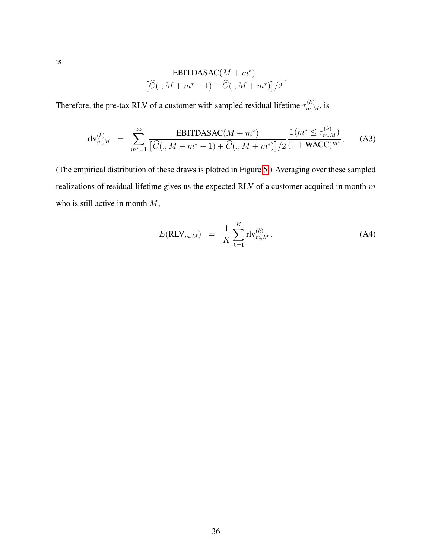$$
\frac{\text{EBITDASAC}(M+m^*)}{\big[\widehat{C}(.,M+m^*-1)+\widehat{C}(.,M+m^*)\big]/2}
$$

Therefore, the pre-tax RLV of a customer with sampled residual lifetime  $\tau_{m,M}^{(k)}$ , is

$$
\mathrm{rlv}_{m,M}^{(k)} = \sum_{m^*=1}^{\infty} \frac{\mathrm{EBITDASAC}(M+m^*)}{\left[\widehat{C}(.,M+m^*-1)+\widehat{C}(.,M+m^*)\right]/2} \frac{\mathbb{1}(m^* \le \tau_{m,M}^{(k)})}{(1+\mathrm{WACC})^{m^*}},\tag{A3}
$$

(The empirical distribution of these draws is plotted in Figure [5.](#page-50-0)) Averaging over these sampled realizations of residual lifetime gives us the expected RLV of a customer acquired in month  $m$ who is still active in month M,

$$
E(RLV_{m,M}) = \frac{1}{K} \sum_{k=1}^{K} rlv_{m,M}^{(k)}.
$$
 (A4)

.

is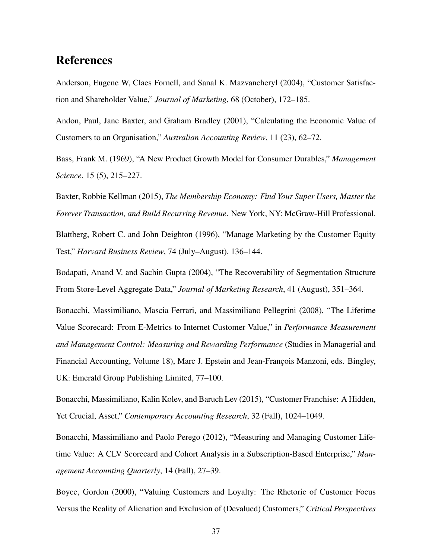# References

Anderson, Eugene W, Claes Fornell, and Sanal K. Mazvancheryl (2004), "Customer Satisfaction and Shareholder Value," *Journal of Marketing*, 68 (October), 172–185.

Andon, Paul, Jane Baxter, and Graham Bradley (2001), "Calculating the Economic Value of Customers to an Organisation," *Australian Accounting Review*, 11 (23), 62–72.

Bass, Frank M. (1969), "A New Product Growth Model for Consumer Durables," *Management Science*, 15 (5), 215–227.

Baxter, Robbie Kellman (2015), *The Membership Economy: Find Your Super Users, Master the Forever Transaction, and Build Recurring Revenue*. New York, NY: McGraw-Hill Professional.

Blattberg, Robert C. and John Deighton (1996), "Manage Marketing by the Customer Equity Test," *Harvard Business Review*, 74 (July–August), 136–144.

Bodapati, Anand V. and Sachin Gupta (2004), "The Recoverability of Segmentation Structure From Store-Level Aggregate Data," *Journal of Marketing Research*, 41 (August), 351–364.

Bonacchi, Massimiliano, Mascia Ferrari, and Massimiliano Pellegrini (2008), "The Lifetime Value Scorecard: From E-Metrics to Internet Customer Value," in *Performance Measurement and Management Control: Measuring and Rewarding Performance* (Studies in Managerial and Financial Accounting, Volume 18), Marc J. Epstein and Jean-François Manzoni, eds. Bingley, UK: Emerald Group Publishing Limited, 77–100.

Bonacchi, Massimiliano, Kalin Kolev, and Baruch Lev (2015), "Customer Franchise: A Hidden, Yet Crucial, Asset," *Contemporary Accounting Research*, 32 (Fall), 1024–1049.

Bonacchi, Massimiliano and Paolo Perego (2012), "Measuring and Managing Customer Lifetime Value: A CLV Scorecard and Cohort Analysis in a Subscription-Based Enterprise," *Management Accounting Quarterly*, 14 (Fall), 27–39.

Boyce, Gordon (2000), "Valuing Customers and Loyalty: The Rhetoric of Customer Focus Versus the Reality of Alienation and Exclusion of (Devalued) Customers," *Critical Perspectives*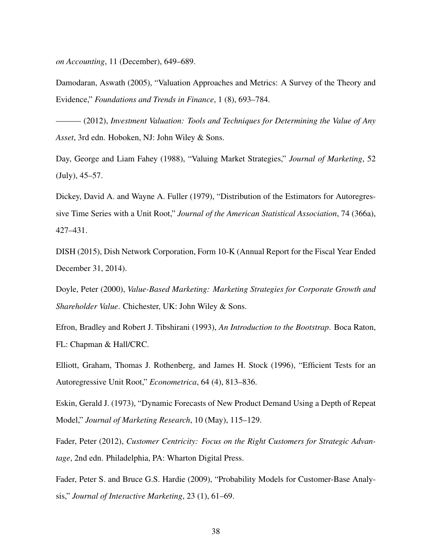*on Accounting*, 11 (December), 649–689.

Damodaran, Aswath (2005), "Valuation Approaches and Metrics: A Survey of the Theory and Evidence," *Foundations and Trends in Finance*, 1 (8), 693–784.

——— (2012), *Investment Valuation: Tools and Techniques for Determining the Value of Any Asset*, 3rd edn. Hoboken, NJ: John Wiley & Sons.

Day, George and Liam Fahey (1988), "Valuing Market Strategies," *Journal of Marketing*, 52 (July), 45–57.

Dickey, David A. and Wayne A. Fuller (1979), "Distribution of the Estimators for Autoregressive Time Series with a Unit Root," *Journal of the American Statistical Association*, 74 (366a), 427–431.

DISH (2015), Dish Network Corporation, Form 10-K (Annual Report for the Fiscal Year Ended December 31, 2014).

Doyle, Peter (2000), *Value-Based Marketing: Marketing Strategies for Corporate Growth and Shareholder Value*. Chichester, UK: John Wiley & Sons.

Efron, Bradley and Robert J. Tibshirani (1993), *An Introduction to the Bootstrap*. Boca Raton, FL: Chapman & Hall/CRC.

Elliott, Graham, Thomas J. Rothenberg, and James H. Stock (1996), "Efficient Tests for an Autoregressive Unit Root," *Econometrica*, 64 (4), 813–836.

Eskin, Gerald J. (1973), "Dynamic Forecasts of New Product Demand Using a Depth of Repeat Model," *Journal of Marketing Research*, 10 (May), 115–129.

Fader, Peter (2012), *Customer Centricity: Focus on the Right Customers for Strategic Advantage*, 2nd edn. Philadelphia, PA: Wharton Digital Press.

Fader, Peter S. and Bruce G.S. Hardie (2009), "Probability Models for Customer-Base Analysis," *Journal of Interactive Marketing*, 23 (1), 61–69.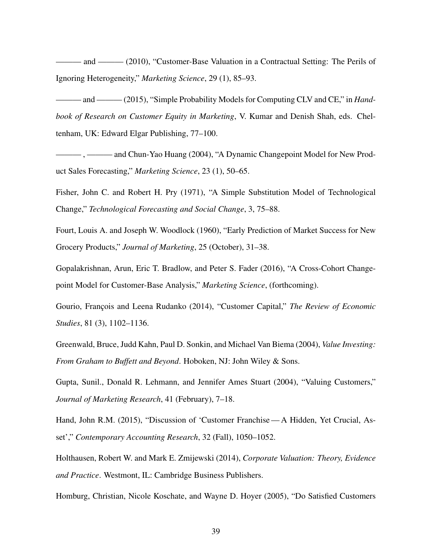- and ——— (2010), "Customer-Base Valuation in a Contractual Setting: The Perils of Ignoring Heterogeneity," *Marketing Science*, 29 (1), 85–93.

—— and ——— (2015), "Simple Probability Models for Computing CLV and CE," in *Handbook of Research on Customer Equity in Marketing*, V. Kumar and Denish Shah, eds. Cheltenham, UK: Edward Elgar Publishing, 77–100.

— and Chun-Yao Huang (2004), "A Dynamic Changepoint Model for New Product Sales Forecasting," *Marketing Science*, 23 (1), 50–65.

Fisher, John C. and Robert H. Pry (1971), "A Simple Substitution Model of Technological Change," *Technological Forecasting and Social Change*, 3, 75–88.

Fourt, Louis A. and Joseph W. Woodlock (1960), "Early Prediction of Market Success for New Grocery Products," *Journal of Marketing*, 25 (October), 31–38.

Gopalakrishnan, Arun, Eric T. Bradlow, and Peter S. Fader (2016), "A Cross-Cohort Changepoint Model for Customer-Base Analysis," *Marketing Science*, (forthcoming).

Gourio, François and Leena Rudanko (2014), "Customer Capital," *The Review of Economic Studies*, 81 (3), 1102–1136.

Greenwald, Bruce, Judd Kahn, Paul D. Sonkin, and Michael Van Biema (2004), *Value Investing: From Graham to Buffett and Beyond*. Hoboken, NJ: John Wiley & Sons.

Gupta, Sunil., Donald R. Lehmann, and Jennifer Ames Stuart (2004), "Valuing Customers," *Journal of Marketing Research*, 41 (February), 7–18.

Hand, John R.M. (2015), "Discussion of 'Customer Franchise — A Hidden, Yet Crucial, Asset'," *Contemporary Accounting Research*, 32 (Fall), 1050–1052.

Holthausen, Robert W. and Mark E. Zmijewski (2014), *Corporate Valuation: Theory, Evidence and Practice*. Westmont, IL: Cambridge Business Publishers.

Homburg, Christian, Nicole Koschate, and Wayne D. Hoyer (2005), "Do Satisfied Customers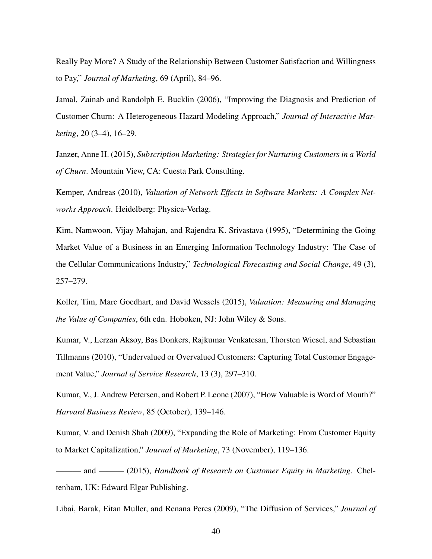Really Pay More? A Study of the Relationship Between Customer Satisfaction and Willingness to Pay," *Journal of Marketing*, 69 (April), 84–96.

Jamal, Zainab and Randolph E. Bucklin (2006), "Improving the Diagnosis and Prediction of Customer Churn: A Heterogeneous Hazard Modeling Approach," *Journal of Interactive Marketing*, 20 (3–4), 16–29.

Janzer, Anne H. (2015), *Subscription Marketing: Strategies for Nurturing Customers in a World of Churn*. Mountain View, CA: Cuesta Park Consulting.

Kemper, Andreas (2010), *Valuation of Network Effects in Software Markets: A Complex Networks Approach*. Heidelberg: Physica-Verlag.

Kim, Namwoon, Vijay Mahajan, and Rajendra K. Srivastava (1995), "Determining the Going Market Value of a Business in an Emerging Information Technology Industry: The Case of the Cellular Communications Industry," *Technological Forecasting and Social Change*, 49 (3), 257–279.

Koller, Tim, Marc Goedhart, and David Wessels (2015), *Valuation: Measuring and Managing the Value of Companies*, 6th edn. Hoboken, NJ: John Wiley & Sons.

Kumar, V., Lerzan Aksoy, Bas Donkers, Rajkumar Venkatesan, Thorsten Wiesel, and Sebastian Tillmanns (2010), "Undervalued or Overvalued Customers: Capturing Total Customer Engagement Value," *Journal of Service Research*, 13 (3), 297–310.

Kumar, V., J. Andrew Petersen, and Robert P. Leone (2007), "How Valuable is Word of Mouth?" *Harvard Business Review*, 85 (October), 139–146.

Kumar, V. and Denish Shah (2009), "Expanding the Role of Marketing: From Customer Equity to Market Capitalization," *Journal of Marketing*, 73 (November), 119–136.

——— and ——— (2015), *Handbook of Research on Customer Equity in Marketing*. Cheltenham, UK: Edward Elgar Publishing.

Libai, Barak, Eitan Muller, and Renana Peres (2009), "The Diffusion of Services," *Journal of*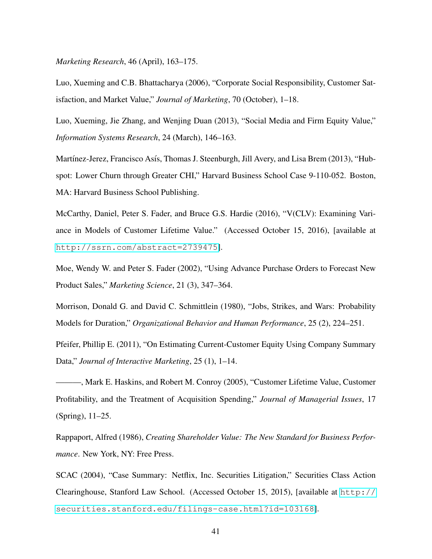*Marketing Research*, 46 (April), 163–175.

Luo, Xueming and C.B. Bhattacharya (2006), "Corporate Social Responsibility, Customer Satisfaction, and Market Value," *Journal of Marketing*, 70 (October), 1–18.

Luo, Xueming, Jie Zhang, and Wenjing Duan (2013), "Social Media and Firm Equity Value," *Information Systems Research*, 24 (March), 146–163.

Martínez-Jerez, Francisco Asís, Thomas J. Steenburgh, Jill Avery, and Lisa Brem (2013), "Hubspot: Lower Churn through Greater CHI," Harvard Business School Case 9-110-052. Boston, MA: Harvard Business School Publishing.

McCarthy, Daniel, Peter S. Fader, and Bruce G.S. Hardie (2016), "V(CLV): Examining Variance in Models of Customer Lifetime Value." (Accessed October 15, 2016), [available at <http://ssrn.com/abstract=2739475>].

Moe, Wendy W. and Peter S. Fader (2002), "Using Advance Purchase Orders to Forecast New Product Sales," *Marketing Science*, 21 (3), 347–364.

Morrison, Donald G. and David C. Schmittlein (1980), "Jobs, Strikes, and Wars: Probability Models for Duration," *Organizational Behavior and Human Performance*, 25 (2), 224–251.

Pfeifer, Phillip E. (2011), "On Estimating Current-Customer Equity Using Company Summary Data," *Journal of Interactive Marketing*, 25 (1), 1–14.

———, Mark E. Haskins, and Robert M. Conroy (2005), "Customer Lifetime Value, Customer Profitability, and the Treatment of Acquisition Spending," *Journal of Managerial Issues*, 17 (Spring), 11–25.

Rappaport, Alfred (1986), *Creating Shareholder Value: The New Standard for Business Performance*. New York, NY: Free Press.

SCAC (2004), "Case Summary: Netflix, Inc. Securities Litigation," Securities Class Action Clearinghouse, Stanford Law School. (Accessed October 15, 2015), [available at [http://](http://securities.stanford.edu/filings-case.html?id=103168) [securities.stanford.edu/filings-case.html?id=103168](http://securities.stanford.edu/filings-case.html?id=103168)].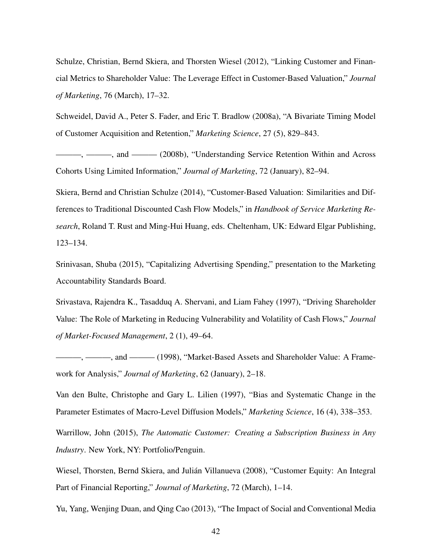Schulze, Christian, Bernd Skiera, and Thorsten Wiesel (2012), "Linking Customer and Financial Metrics to Shareholder Value: The Leverage Effect in Customer-Based Valuation," *Journal of Marketing*, 76 (March), 17–32.

Schweidel, David A., Peter S. Fader, and Eric T. Bradlow (2008a), "A Bivariate Timing Model of Customer Acquisition and Retention," *Marketing Science*, 27 (5), 829–843.

-, ———, and ——— (2008b), "Understanding Service Retention Within and Across Cohorts Using Limited Information," *Journal of Marketing*, 72 (January), 82–94.

Skiera, Bernd and Christian Schulze (2014), "Customer-Based Valuation: Similarities and Differences to Traditional Discounted Cash Flow Models," in *Handbook of Service Marketing Research*, Roland T. Rust and Ming-Hui Huang, eds. Cheltenham, UK: Edward Elgar Publishing, 123–134.

Srinivasan, Shuba (2015), "Capitalizing Advertising Spending," presentation to the Marketing Accountability Standards Board.

Srivastava, Rajendra K., Tasadduq A. Shervani, and Liam Fahey (1997), "Driving Shareholder Value: The Role of Marketing in Reducing Vulnerability and Volatility of Cash Flows," *Journal of Market-Focused Management*, 2 (1), 49–64.

———, ———, and ——— (1998), "Market-Based Assets and Shareholder Value: A Framework for Analysis," *Journal of Marketing*, 62 (January), 2–18.

Van den Bulte, Christophe and Gary L. Lilien (1997), "Bias and Systematic Change in the Parameter Estimates of Macro-Level Diffusion Models," *Marketing Science*, 16 (4), 338–353.

Warrillow, John (2015), *The Automatic Customer: Creating a Subscription Business in Any Industry*. New York, NY: Portfolio/Penguin.

Wiesel, Thorsten, Bernd Skiera, and Julian Villanueva (2008), "Customer Equity: An Integral ´ Part of Financial Reporting," *Journal of Marketing*, 72 (March), 1–14.

Yu, Yang, Wenjing Duan, and Qing Cao (2013), "The Impact of Social and Conventional Media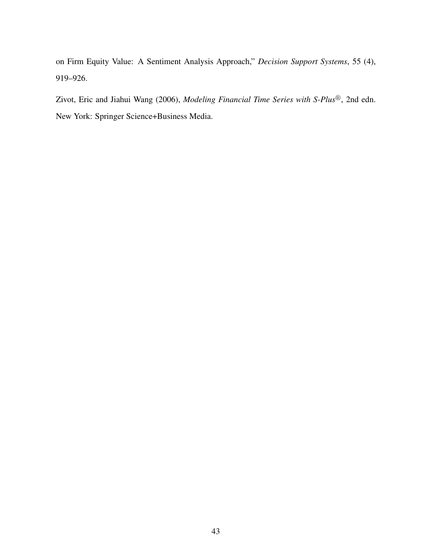on Firm Equity Value: A Sentiment Analysis Approach," *Decision Support Systems*, 55 (4), 919–926.

Zivot, Eric and Jiahui Wang (2006), *Modeling Financial Time Series with S-Plus<sup>®</sup>*, 2nd edn. New York: Springer Science+Business Media.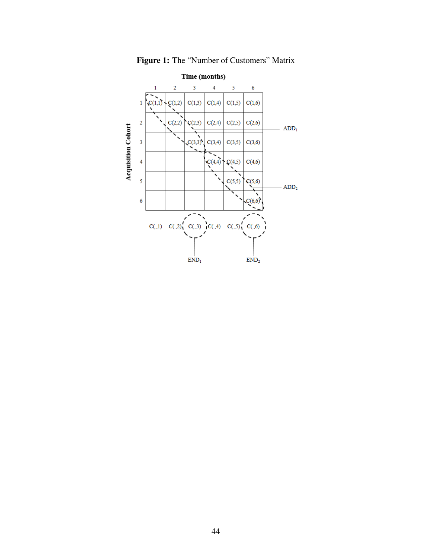<span id="page-46-0"></span>

Figure 1: The "Number of Customers" Matrix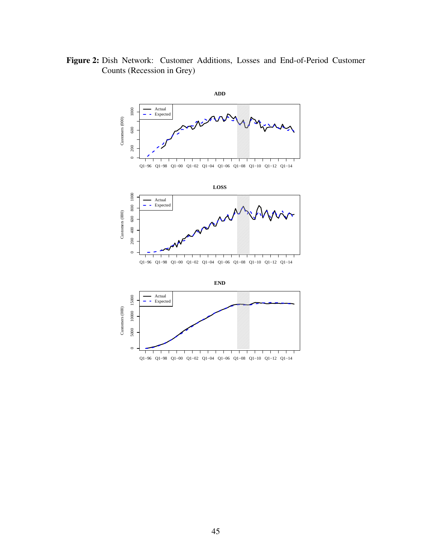<span id="page-47-0"></span>Figure 2: Dish Network: Customer Additions, Losses and End-of-Period Customer Counts (Recession in Grey)

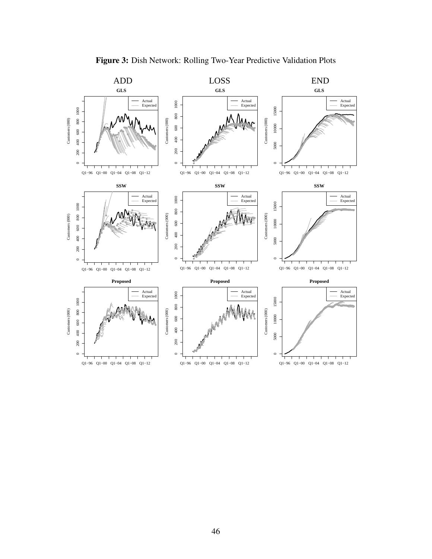<span id="page-48-0"></span>

Figure 3: Dish Network: Rolling Two-Year Predictive Validation Plots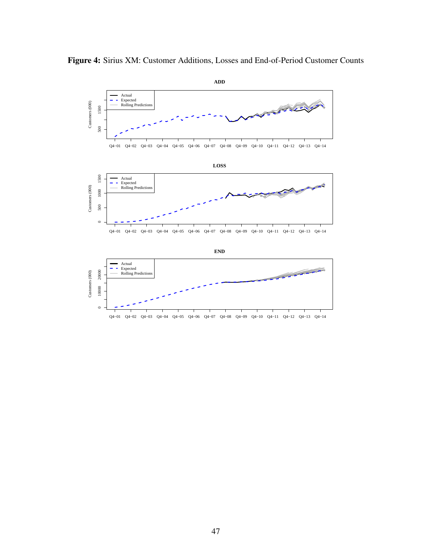

<span id="page-49-0"></span>Figure 4: Sirius XM: Customer Additions, Losses and End-of-Period Customer Counts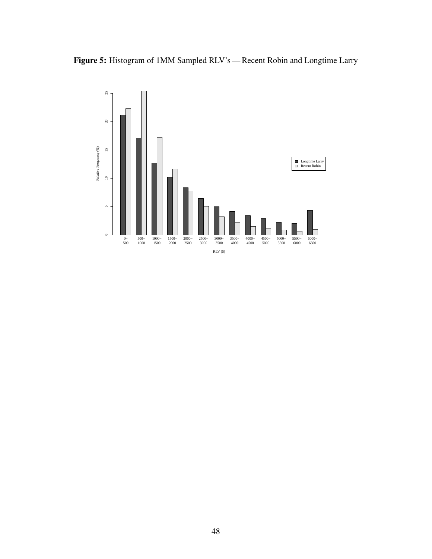<span id="page-50-0"></span>Figure 5: Histogram of 1MM Sampled RLV's — Recent Robin and Longtime Larry

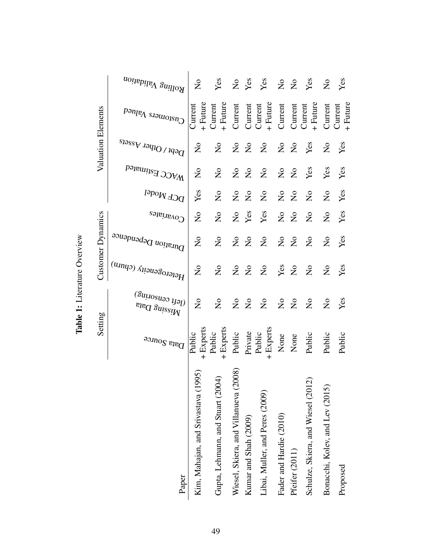<span id="page-51-0"></span>

|                          | Rolling Validation                                                 | $\mathsf{S}^{\mathsf{O}}$           | Yes                                         | $\mathsf{S}^{\mathsf{O}}$                  | Yes                       | Yes                             | $\mathsf{S}^{\mathsf{O}}$ | $\mathsf{S}^{\mathsf{O}}$ | Yes                                | $\mathsf{S}^{\mathsf{O}}$       | Yes                 |
|--------------------------|--------------------------------------------------------------------|-------------------------------------|---------------------------------------------|--------------------------------------------|---------------------------|---------------------------------|---------------------------|---------------------------|------------------------------------|---------------------------------|---------------------|
| Valuation Elements       | Customers Valued                                                   | $+$ Future<br>$C$ urrent            | + Future<br>Current                         | Current                                    | Current                   | + Future<br>Current             | Current                   | Current                   | + Future<br>$C$ urrent             | Current                         | + Future<br>Current |
|                          | $\mathrm{Debt} \, \backslash \, \mathrm{Other} \, \mathrm{Assets}$ | $\mathsf{S}^{\mathsf{O}}$           | $\mathsf{S}^{\mathsf{O}}$                   | $\Sigma$                                   | $\mathsf{S}^{\mathsf{o}}$ | $\mathsf{S}^{\mathsf{o}}$       | $\mathsf{S}^{\mathsf{O}}$ | $\mathsf{S}^{\mathsf{o}}$ | Yes                                | $\mathsf{S}^{\mathsf{O}}$       | Yes                 |
|                          | WACC Estimated                                                     | $\mathsf{S}^{\mathsf{O}}$           | $\Sigma$                                    | $\mathsf{S}^{\mathsf{O}}$                  | $\mathsf{S}^{\mathsf{O}}$ | $\mathsf{S}^{\mathsf{o}}$       | $\mathsf{S}^{\mathsf{O}}$ | $\zeta$                   | Yes                                | Yes                             | Yes                 |
|                          | $\operatorname{DCE} \operatorname{Mod}$                            | Yes                                 | $\mathsf{S}^{\mathsf{O}}$                   | $\mathsf{S}^{\mathsf{O}}$                  | $\mathcal{L}^{\circ}$     | $\mathsf{S}^{\mathsf{O}}$       | $\mathsf{S}^{\mathsf{O}}$ | $\mathsf{S}^{\mathsf{O}}$ | $\mathsf{S}^{\mathsf{O}}$          | $\mathsf{S}^{\mathsf{O}}$       | Yes                 |
|                          | Covariates                                                         | $\overline{S}$                      | $\mathsf{S}^{\mathsf{O}}$                   | $\mathsf{S}^{\mathsf{o}}$                  | Yes                       | Yes                             | $\mathsf{S}^{\mathsf{O}}$ | $\mathsf{S}^{\mathsf{O}}$ | $\mathsf{S}^{\mathsf{O}}$          | $\mathsf{S}^{\mathsf{o}}$       | Yes                 |
| <b>Customer Dynamics</b> | Duration Dependence                                                | $\mathsf{S}^{\mathsf{o}}$           | $\Sigma$                                    | $\mathsf{S}^{\mathsf{O}}$                  | $\mathsf{S}^{\mathsf{o}}$ | $\Sigma$                        | $\mathsf{S}^{\mathsf{o}}$ | $\mathsf{S}^{\mathsf{o}}$ | $\mathsf{S}^{\mathsf{o}}$          | $\mathsf{S}^{\mathsf{o}}$       | Yes                 |
|                          | $H_{e}$ rerogeneity (churn)                                        | $\mathsf{S}^{\mathsf{O}}$           | $\Sigma$                                    | $\mathsf{S}^{\mathsf{O}}$                  | $\mathsf{S}^{\mathsf{o}}$ | $\mathsf{S}^{\mathsf{o}}$       | Yes                       | $\tilde{z}$               | $\mathsf{S}^{\mathsf{o}}$          | $\zeta$                         | Yes                 |
|                          | $(\text{gen}^{\text{out}}$<br>$_{\rm this}$ Oata $_{\rm this}$     | $\mathsf{S}^{\mathsf{o}}$           | $\mathsf{S}^{\mathsf{O}}$                   | $\mathsf{S}^{\mathsf{O}}$                  | $\overline{z}$            | $\Sigma$                        | $\mathsf{S}^{\mathsf{O}}$ | $\mathsf{S}^{\mathsf{o}}$ | $\mathsf{S}^{\mathsf{o}}$          | $\mathsf{S}^{\mathsf{O}}$       | Yes                 |
| Setting                  | Data Source                                                        | Public                              | + Experts<br>Public<br>+ Experts            | Public                                     | Private<br>Public         | $+$ Experts                     | None                      | None                      | Public                             | Public                          | Public              |
|                          | Paper                                                              | Kim, Mahajan, and Srivastava (1995) | <u>न</u><br>Gupta, Lehmann, and Stuart (200 | (800)<br>Wiesel, Skiera, and Villanueva (2 | Kumar and Shah (2009)     | Libai, Muller, and Peres (2009) | Fader and Hardie (2010)   | Pfeifer (2011)            | Schulze, Skiera, and Wiesel (2012) | Bonacchi, Kolev, and Lev (2015) | Proposed            |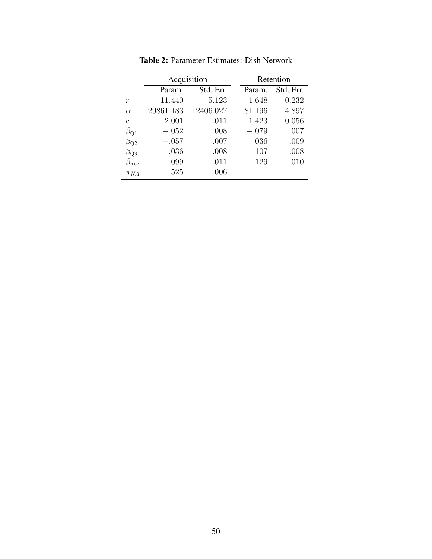<span id="page-52-0"></span>

|                       |           | Acquisition | Retention |           |  |
|-----------------------|-----------|-------------|-----------|-----------|--|
|                       | Param.    | Std. Err.   | Param.    | Std. Err. |  |
| r                     | 11.440    | 5.123       | 1.648     | 0.232     |  |
| $\alpha$              | 29861.183 | 12406.027   | 81.196    | 4.897     |  |
| $\overline{c}$        | 2.001     | .011        | 1.423     | 0.056     |  |
| $\beta_{\mathrm{Q1}}$ | $-.052$   | .008        | $-.079$   | .007      |  |
| $\beta_{\rm Q2}$      | $-.057$   | .007        | .036      | .009      |  |
| $\beta_{\rm Q3}$      | .036      | .008        | .107      | .008      |  |
| $\beta_{\rm Rec}$     | $-.099$   | .011        | .129      | .010      |  |
| $\pi_{NA}$            | .525      | .006        |           |           |  |

Table 2: Parameter Estimates: Dish Network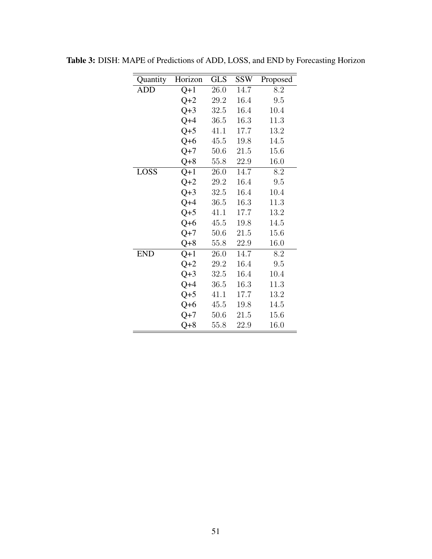| Quantity   | Horizon | <b>GLS</b> | <b>SSW</b> | Proposed |
|------------|---------|------------|------------|----------|
| ADD        | $Q+1$   | 26.0       | 14.7       | 8.2      |
|            | $Q+2$   | 29.2       | 16.4       | 9.5      |
|            | $Q+3$   | 32.5       | 16.4       | 10.4     |
|            | $Q+4$   | 36.5       | 16.3       | 11.3     |
|            | $Q+5$   | 41.1       | 17.7       | 13.2     |
|            | $Q+6$   | 45.5       | 19.8       | 14.5     |
|            | $Q+7$   | 50.6       | 21.5       | 15.6     |
|            | $Q + 8$ | 55.8       | 22.9       | 16.0     |
| LOSS       | $Q+1$   | 26.0       | 14.7       | 8.2      |
|            | $Q+2$   | 29.2       | 16.4       | 9.5      |
|            | $Q+3$   | 32.5       | 16.4       | 10.4     |
|            | $Q+4$   | 36.5       | 16.3       | 11.3     |
|            | $Q+5$   | 41.1       | 17.7       | 13.2     |
|            | $Q+6$   | 45.5       | 19.8       | 14.5     |
|            | $Q+7$   | 50.6       | 21.5       | 15.6     |
|            | $Q+8$   | 55.8       | 22.9       | 16.0     |
| <b>END</b> | $Q+1$   | 26.0       | 14.7       | 8.2      |
|            | $Q+2$   | 29.2       | 16.4       | 9.5      |
|            | $Q+3$   | 32.5       | 16.4       | 10.4     |
|            | $Q+4$   | 36.5       | 16.3       | 11.3     |
|            | $Q+5$   | 41.1       | 17.7       | 13.2     |
|            | Q+6     | 45.5       | 19.8       | 14.5     |
|            | $Q+7$   | 50.6       | 21.5       | 15.6     |
|            | $Q+8$   | 55.8       | 22.9       | 16.0     |

<span id="page-53-0"></span>Table 3: DISH: MAPE of Predictions of ADD, LOSS, and END by Forecasting Horizon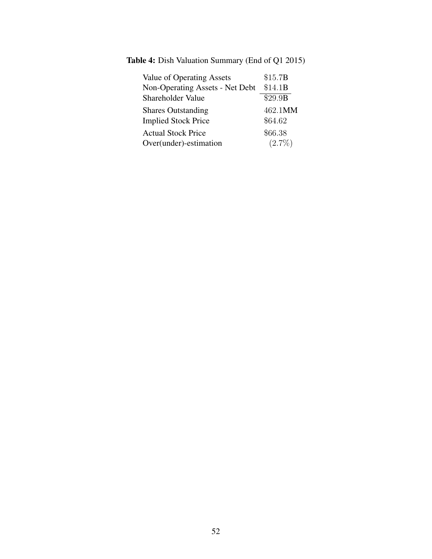| \$14.1B<br>Non-Operating Assets - Net Debt<br>\$29.9B<br>Shareholder Value<br><b>Shares Outstanding</b><br>\$64.62<br><b>Implied Stock Price</b> | Value of Operating Assets | \$15.7B |
|--------------------------------------------------------------------------------------------------------------------------------------------------|---------------------------|---------|
|                                                                                                                                                  |                           |         |
|                                                                                                                                                  |                           |         |
|                                                                                                                                                  |                           | 462.1MM |
|                                                                                                                                                  |                           |         |
|                                                                                                                                                  | <b>Actual Stock Price</b> | \$66.38 |
| $(2.7\%)$<br>Over(under)-estimation                                                                                                              |                           |         |

<span id="page-54-0"></span>Table 4: Dish Valuation Summary (End of Q1 2015)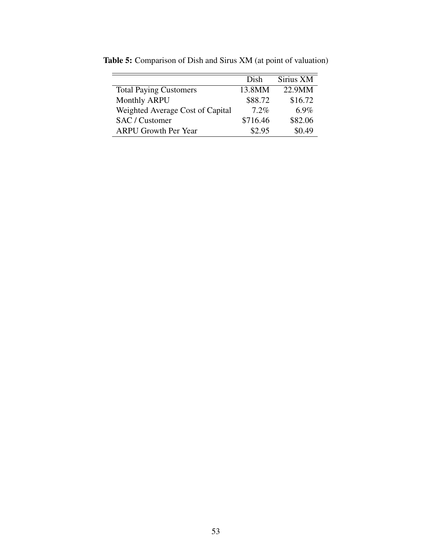|                                  | Dish     | Sirius XM |
|----------------------------------|----------|-----------|
| <b>Total Paying Customers</b>    | 13.8MM   | 22.9MM    |
| Monthly ARPU                     | \$88.72  | \$16.72   |
| Weighted Average Cost of Capital | $7.2\%$  | 6.9%      |
| SAC / Customer                   | \$716.46 | \$82.06   |
| <b>ARPU Growth Per Year</b>      | \$2.95   | \$0.49    |

<span id="page-55-0"></span>Table 5: Comparison of Dish and Sirus XM (at point of valuation)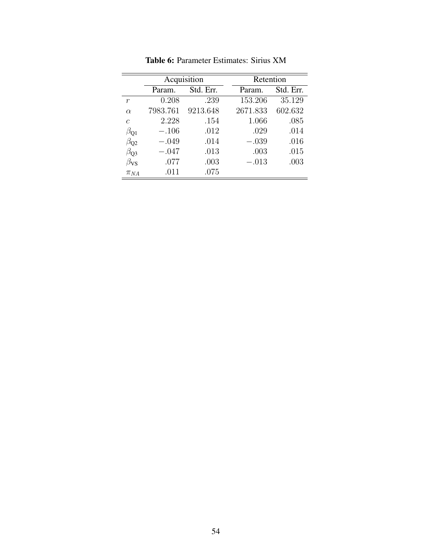<span id="page-56-0"></span>

|                  |          | Acquisition | Retention |           |  |
|------------------|----------|-------------|-----------|-----------|--|
|                  | Param.   | Std. Err.   | Param.    | Std. Err. |  |
| r                | 0.208    | .239        | 153.206   | 35.129    |  |
| $\alpha$         | 7983.761 | 9213.648    | 2671.833  | 602.632   |  |
| $\overline{c}$   | 2.228    | .154        | 1.066     | .085      |  |
| $\beta_{Q1}$     | $-.106$  | .012        | .029      | .014      |  |
| $\beta_{\rm Q2}$ | $-.049$  | .014        | $-.039$   | .016      |  |
| $\beta_{\rm Q3}$ | $-.047$  | .013        | .003      | .015      |  |
| $\beta_{\rm VS}$ | .077     | .003        | $-.013$   | .003      |  |
| $\pi_{NA}$       | .011     | .075        |           |           |  |

Table 6: Parameter Estimates: Sirius XM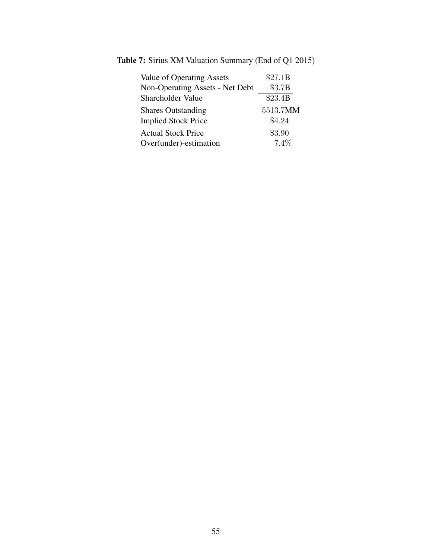| Value of Operating Assets       | \$27.1B   |
|---------------------------------|-----------|
| Non-Operating Assets - Net Debt | $-\$3.7B$ |
| Shareholder Value               | \$23.4B   |
| <b>Shares Outstanding</b>       | 5513.7MM  |
| <b>Implied Stock Price</b>      | \$4.24    |
| <b>Actual Stock Price</b>       | \$3.90    |
| Over(under)-estimation          | $7.4\%$   |

<span id="page-57-0"></span>Table 7: Sirius XM Valuation Summary (End of Q1 2015)